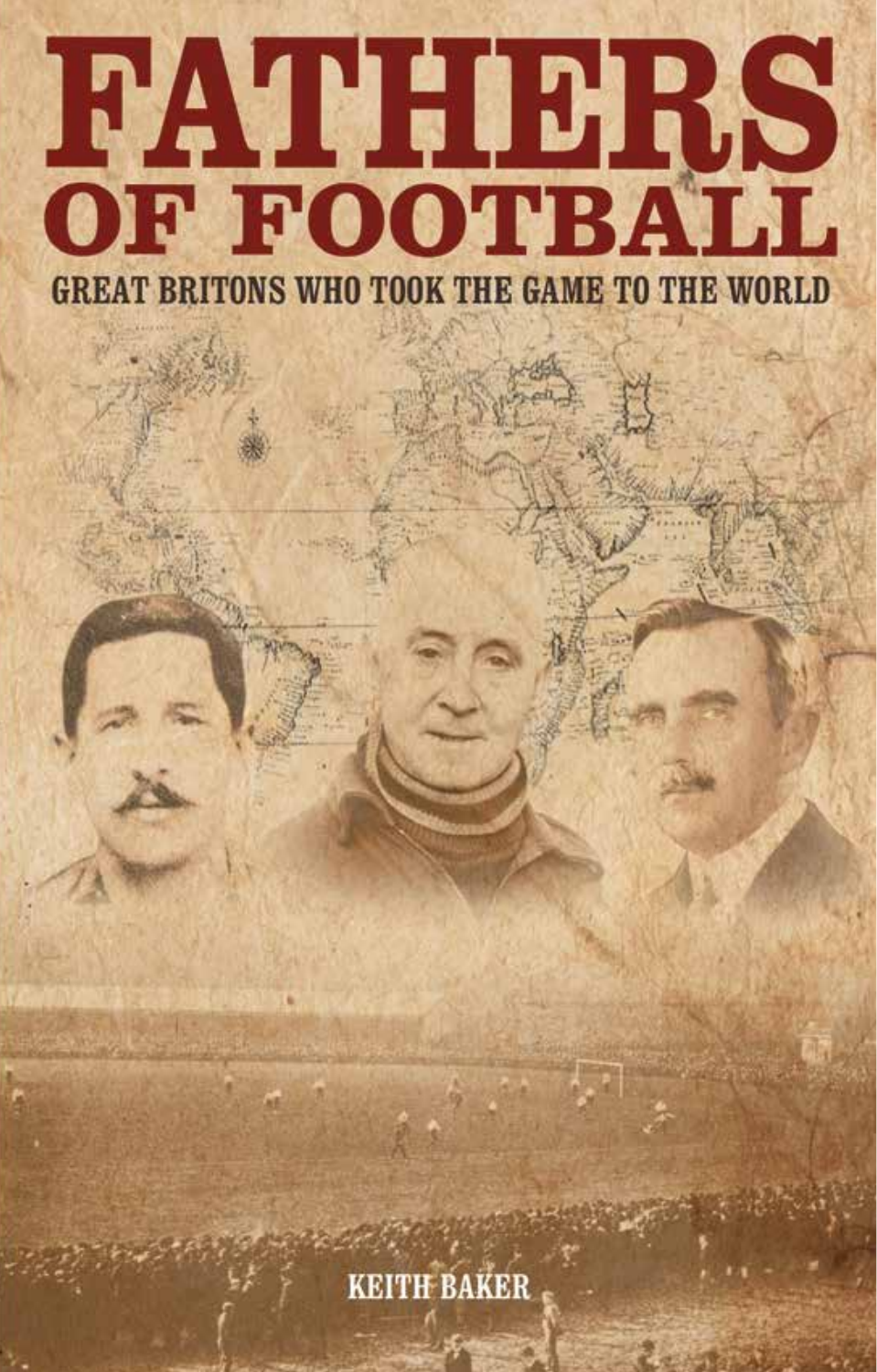# **FATHERS**<br>OF FOOTBALL **GREAT BRITONS WHO TOOK THE GAME TO THE WORLD**

**KEITH BAKER**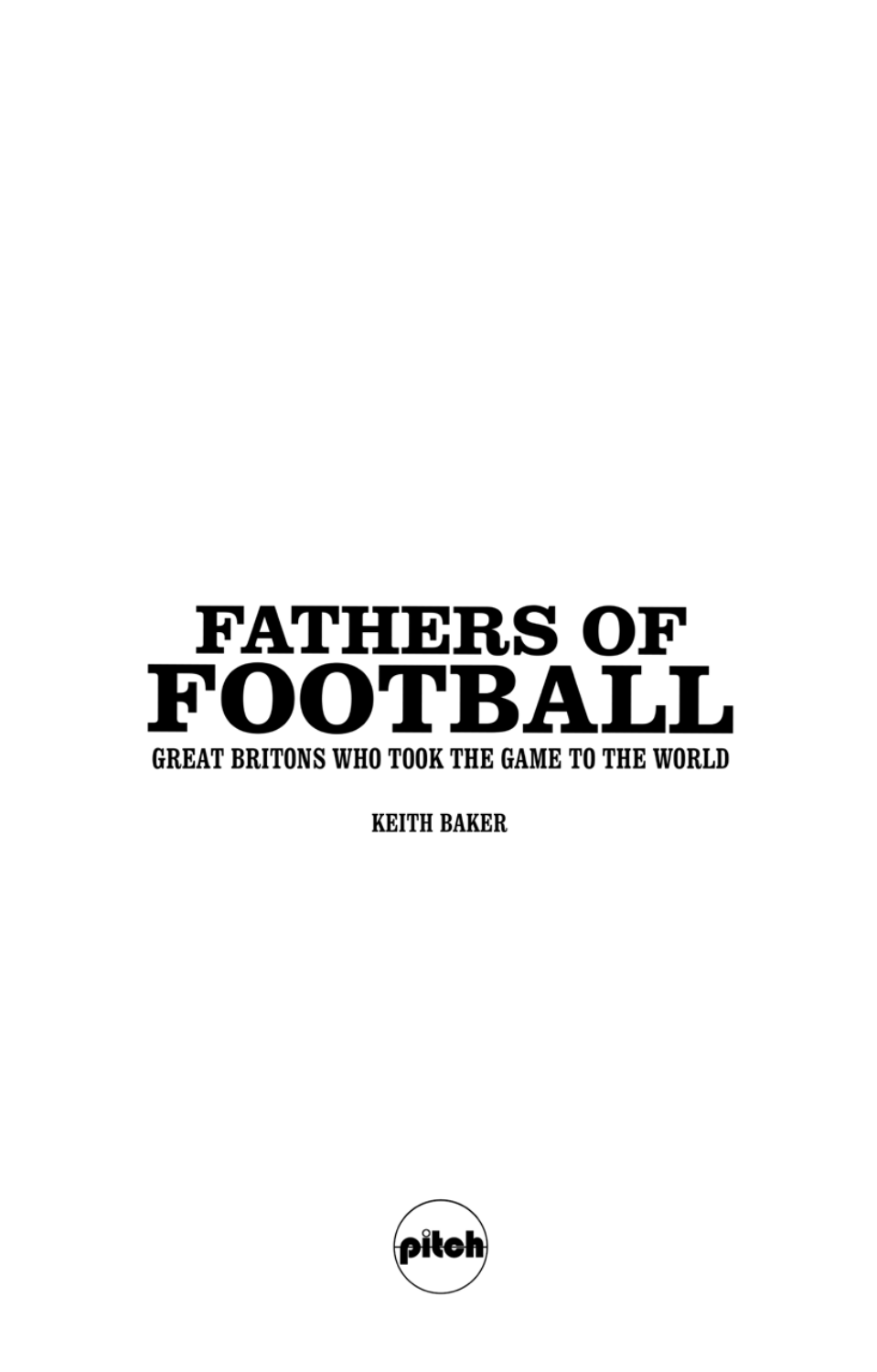# FATHERS OF<br>FOOTBALL **GREAT BRITONS WHO TOOK THE GAME TO THE WORLD**

**KEITH BAKER** 

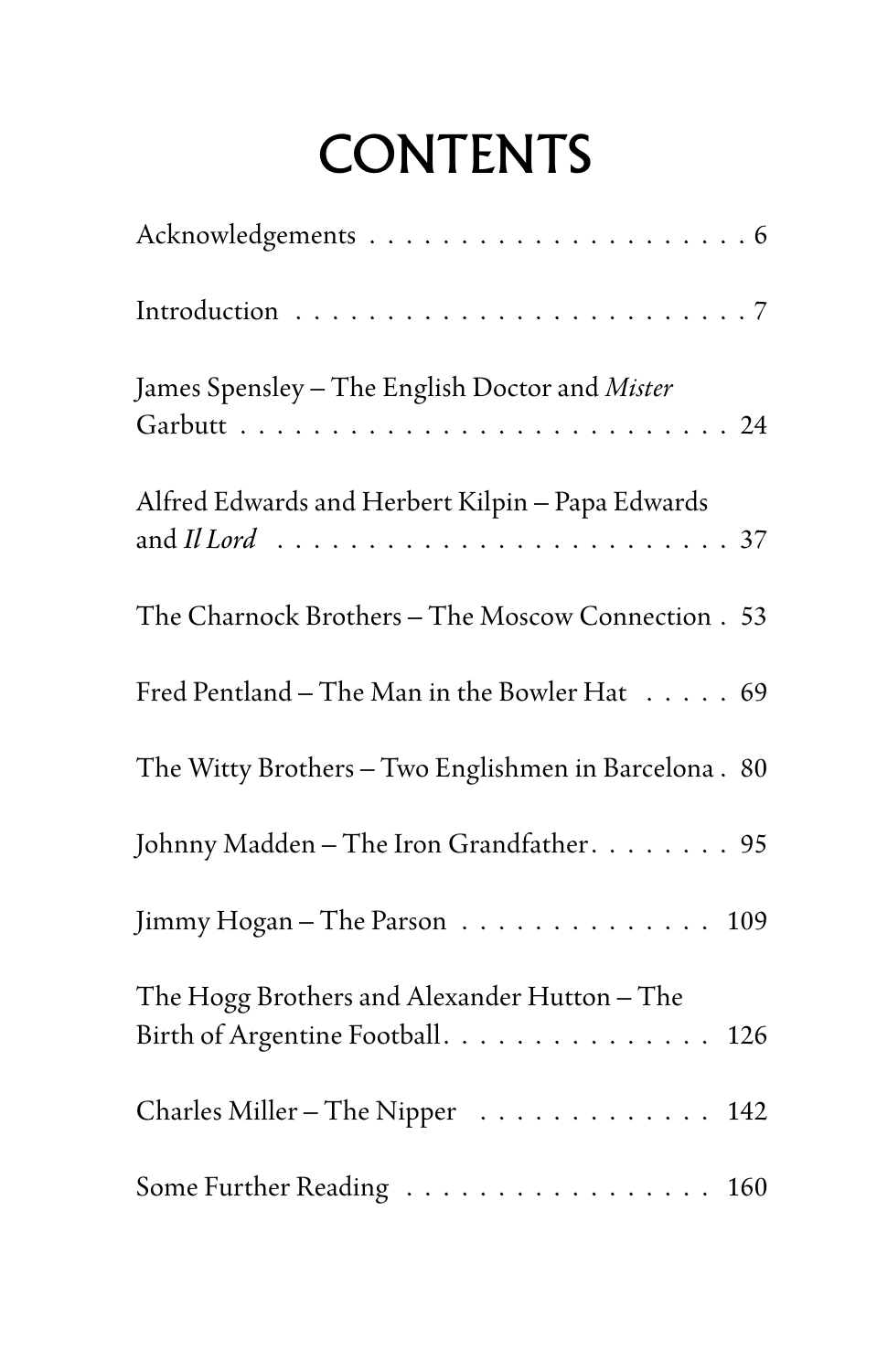# **CONTENTS**

| James Spensley – The English Doctor and Mister                                   |
|----------------------------------------------------------------------------------|
| Alfred Edwards and Herbert Kilpin - Papa Edwards                                 |
| The Charnock Brothers - The Moscow Connection . 53                               |
| Fred Pentland – The Man in the Bowler Hat $\dots$ . $69$                         |
| The Witty Brothers - Two Englishmen in Barcelona. 80                             |
| Johnny Madden - The Iron Grandfather. 95                                         |
| Jimmy Hogan – The Parson 109                                                     |
| The Hogg Brothers and Alexander Hutton - The<br>Birth of Argentine Football. 126 |
| Charles Miller - The Nipper 142                                                  |
| Some Further Reading 160                                                         |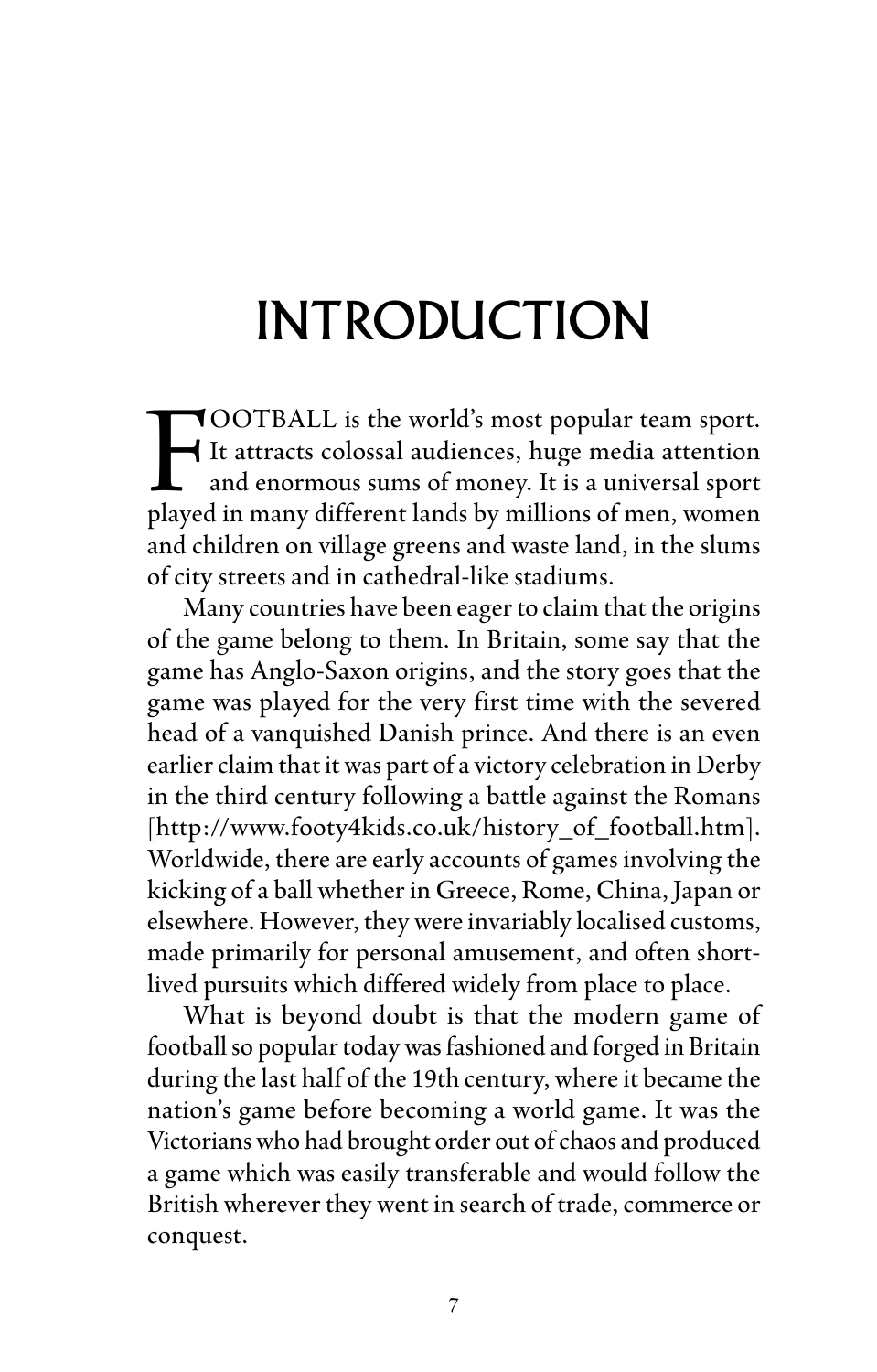## INTRODUCTION

FOOTBALL is the world's most popular team sport.<br>It attracts colossal audiences, huge media attention<br>and enormous sums of money. It is a universal sport<br>played in many different lands by millions of men. women It attracts colossal audiences, huge media attention and enormous sums of money. It is a universal sport played in many different lands by millions of men, women and children on village greens and waste land, in the slums of city streets and in cathedral-like stadiums.

Many countries have been eager to claim that the origins of the game belong to them. In Britain, some say that the game has Anglo-Saxon origins, and the story goes that the game was played for the very first time with the severed head of a vanquished Danish prince. And there is an even earlier claim that it was part of a victory celebration in Derby in the third century following a battle against the Romans [http://www.footy4kids.co.uk/history\_of\_football.htm]. Worldwide, there are early accounts of games involving the kicking of a ball whether in Greece, Rome, China, Japan or elsewhere. However, they were invariably localised customs, made primarily for personal amusement, and often shortlived pursuits which differed widely from place to place.

What is beyond doubt is that the modern game of football so popular today was fashioned and forged in Britain during the last half of the 19th century, where it became the nation's game before becoming a world game. It was the Victorians who had brought order out of chaos and produced a game which was easily transferable and would follow the British wherever they went in search of trade, commerce or conquest.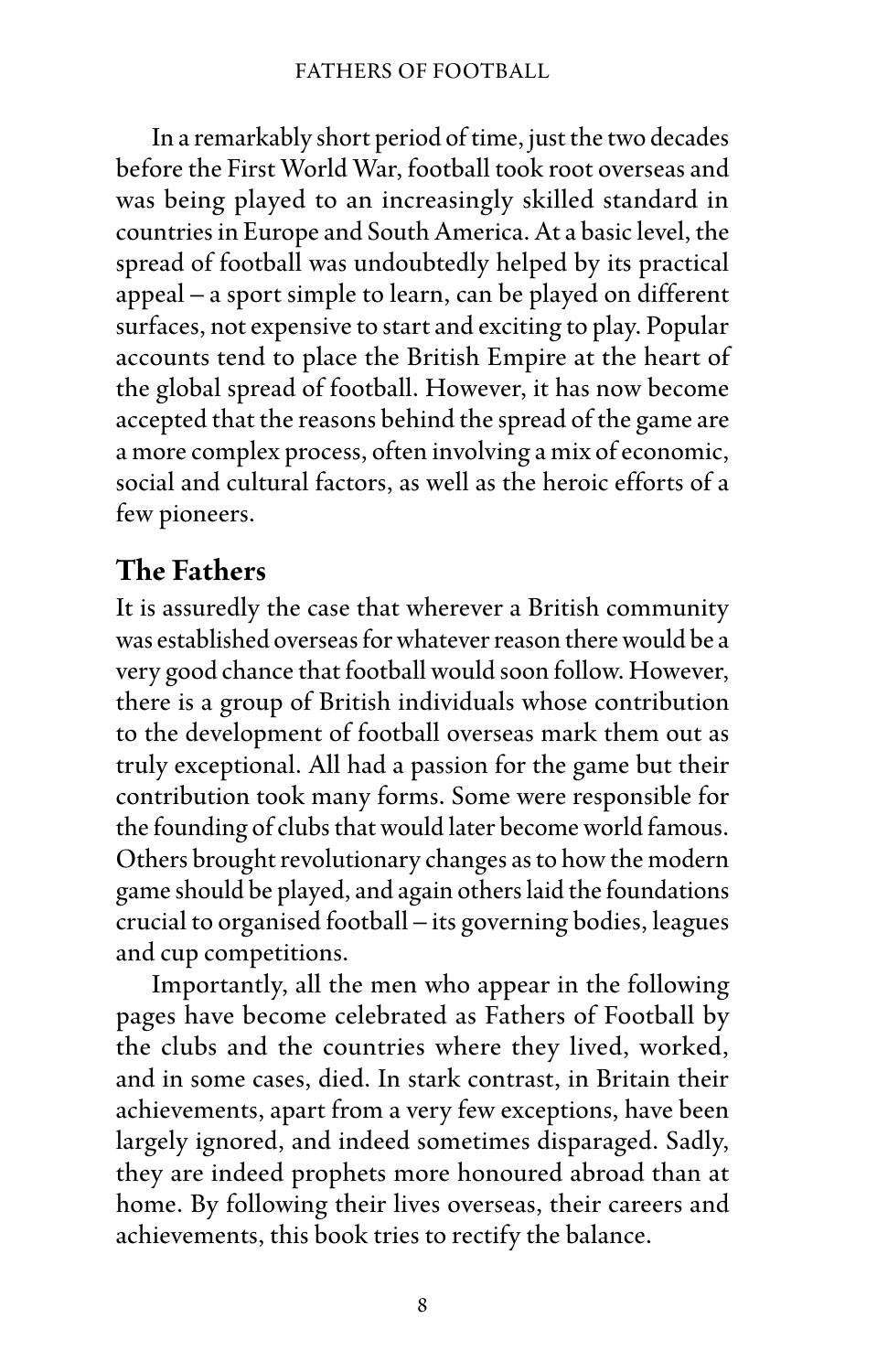In a remarkably short period of time, just the two decades before the First World War, football took root overseas and was being played to an increasingly skilled standard in countries in Europe and South America. At a basic level, the spread of football was undoubtedly helped by its practical appeal – a sport simple to learn, can be played on different surfaces, not expensive to start and exciting to play. Popular accounts tend to place the British Empire at the heart of the global spread of football. However, it has now become accepted that the reasons behind the spread of the game are a more complex process, often involving a mix of economic, social and cultural factors, as well as the heroic efforts of a few pioneers.

#### **The Fathers**

It is assuredly the case that wherever a British community was established overseas for whatever reason there would be a very good chance that football would soon follow. However, there is a group of British individuals whose contribution to the development of football overseas mark them out as truly exceptional. All had a passion for the game but their contribution took many forms. Some were responsible for the founding of clubs that would later become world famous. Others brought revolutionary changes as to how the modern game should be played, and again others laid the foundations crucial to organised football – its governing bodies, leagues and cup competitions.

Importantly, all the men who appear in the following pages have become celebrated as Fathers of Football by the clubs and the countries where they lived, worked, and in some cases, died. In stark contrast, in Britain their achievements, apart from a very few exceptions, have been largely ignored, and indeed sometimes disparaged. Sadly, they are indeed prophets more honoured abroad than at home. By following their lives overseas, their careers and achievements, this book tries to rectify the balance.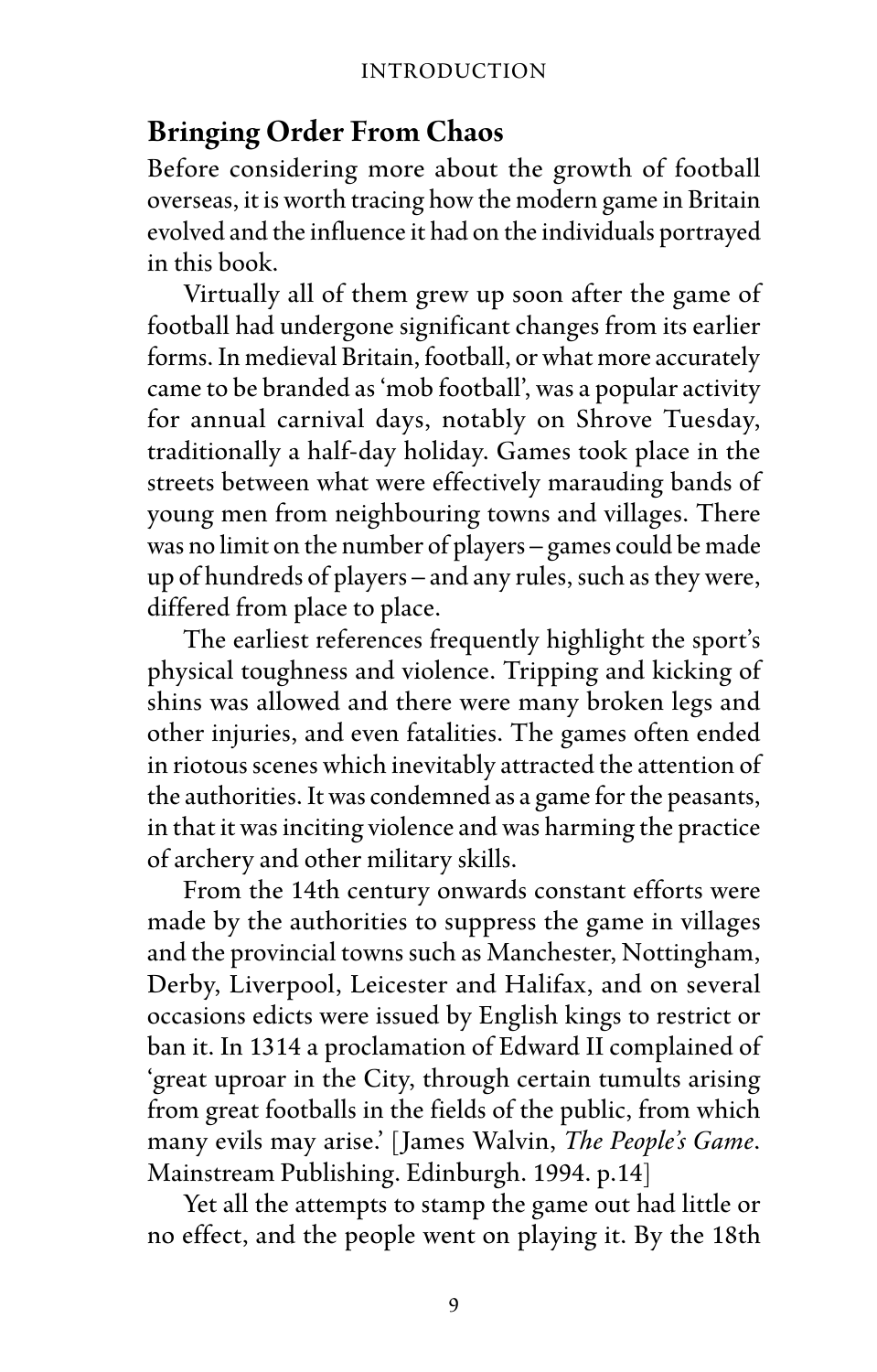#### **Bringing Order From Chaos**

Before considering more about the growth of football overseas, it is worth tracing how the modern game in Britain evolved and the influence it had on the individuals portrayed in this book.

Virtually all of them grew up soon after the game of football had undergone significant changes from its earlier forms. In medieval Britain, football, or what more accurately came to be branded as 'mob football', was a popular activity for annual carnival days, notably on Shrove Tuesday, traditionally a half-day holiday. Games took place in the streets between what were effectively marauding bands of young men from neighbouring towns and villages. There was no limit on the number of players – games could be made up of hundreds of players – and any rules, such as they were, differed from place to place.

The earliest references frequently highlight the sport's physical toughness and violence. Tripping and kicking of shins was allowed and there were many broken legs and other injuries, and even fatalities. The games often ended in riotous scenes which inevitably attracted the attention of the authorities. It was condemned as a game for the peasants, in that it was inciting violence and was harming the practice of archery and other military skills.

From the 14th century onwards constant efforts were made by the authorities to suppress the game in villages and the provincial towns such as Manchester, Nottingham, Derby, Liverpool, Leicester and Halifax, and on several occasions edicts were issued by English kings to restrict or ban it. In 1314 a proclamation of Edward II complained of 'great uproar in the City, through certain tumults arising from great footballs in the fields of the public, from which many evils may arise.' [James Walvin, *The People's Game*. Mainstream Publishing. Edinburgh. 1994. p.14]

Yet all the attempts to stamp the game out had little or no effect, and the people went on playing it. By the 18th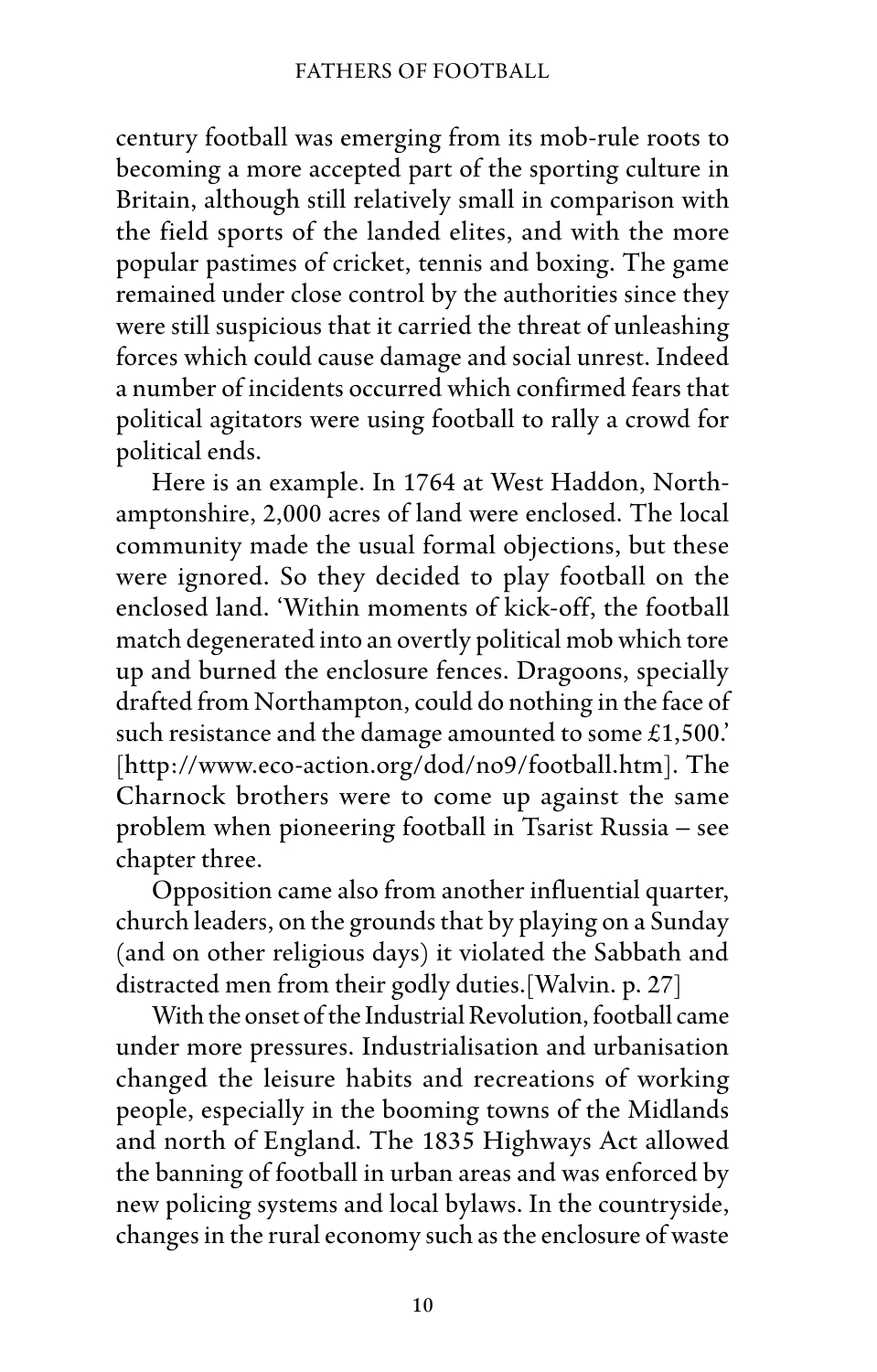century football was emerging from its mob-rule roots to becoming a more accepted part of the sporting culture in Britain, although still relatively small in comparison with the field sports of the landed elites, and with the more popular pastimes of cricket, tennis and boxing. The game remained under close control by the authorities since they were still suspicious that it carried the threat of unleashing forces which could cause damage and social unrest. Indeed a number of incidents occurred which confirmed fears that political agitators were using football to rally a crowd for political ends.

Here is an example. In 1764 at West Haddon, Northamptonshire, 2,000 acres of land were enclosed. The local community made the usual formal objections, but these were ignored. So they decided to play football on the enclosed land. 'Within moments of kick-off, the football match degenerated into an overtly political mob which tore up and burned the enclosure fences. Dragoons, specially drafted from Northampton, could do nothing in the face of such resistance and the damage amounted to some £1,500.' [http://www.eco-action.org/dod/no9/football.htm]. The Charnock brothers were to come up against the same problem when pioneering football in Tsarist Russia – see chapter three.

Opposition came also from another influential quarter, church leaders, on the grounds that by playing on a Sunday (and on other religious days) it violated the Sabbath and distracted men from their godly duties.[Walvin. p. 27]

With the onset of the Industrial Revolution, football came under more pressures. Industrialisation and urbanisation changed the leisure habits and recreations of working people, especially in the booming towns of the Midlands and north of England. The 1835 Highways Act allowed the banning of football in urban areas and was enforced by new policing systems and local bylaws. In the countryside, changes in the rural economy such as the enclosure of waste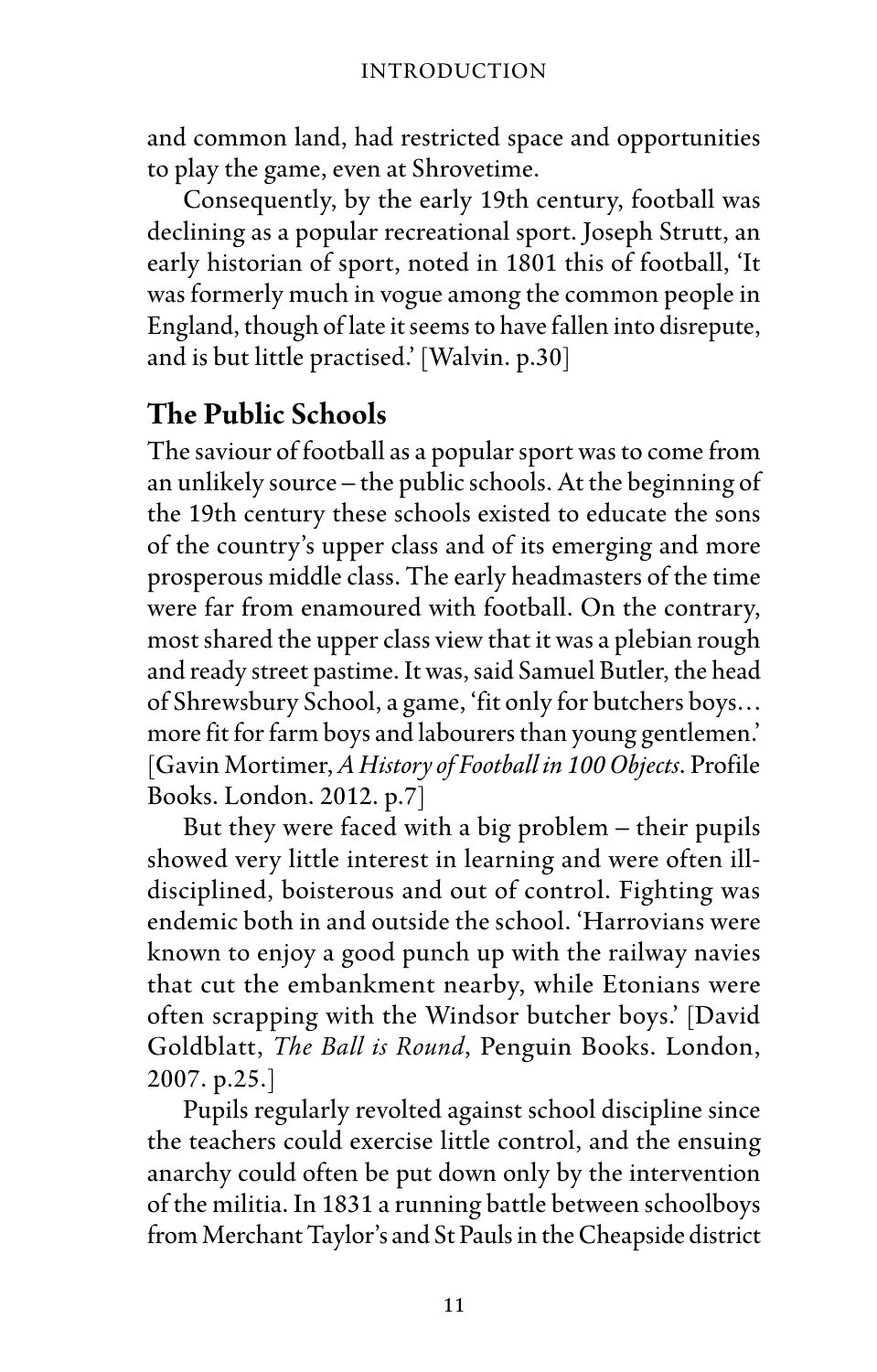and common land, had restricted space and opportunities to play the game, even at Shrovetime.

Consequently, by the early 19th century, football was declining as a popular recreational sport. Joseph Strutt, an early historian of sport, noted in 1801 this of football, 'It was formerly much in vogue among the common people in England, though of late it seems to have fallen into disrepute, and is but little practised.' [Walvin. p.30]

#### **The Public Schools**

The saviour of football as a popular sport was to come from an unlikely source – the public schools. At the beginning of the 19th century these schools existed to educate the sons of the country's upper class and of its emerging and more prosperous middle class. The early headmasters of the time were far from enamoured with football. On the contrary, most shared the upper class view that it was a plebian rough and ready street pastime. It was, said Samuel Butler, the head of Shrewsbury School, a game, 'fit only for butchers boys… more fit for farm boys and labourers than young gentlemen.' [Gavin Mortimer, *A History of Football in 100 Objects*. Profile Books. London. 2012. p.7]

But they were faced with a big problem – their pupils showed very little interest in learning and were often illdisciplined, boisterous and out of control. Fighting was endemic both in and outside the school. 'Harrovians were known to enjoy a good punch up with the railway navies that cut the embankment nearby, while Etonians were often scrapping with the Windsor butcher boys.' [David Goldblatt, *The Ball is Round*, Penguin Books. London, 2007. p.25.]

Pupils regularly revolted against school discipline since the teachers could exercise little control, and the ensuing anarchy could often be put down only by the intervention of the militia. In 1831 a running battle between schoolboys from Merchant Taylor's and St Pauls in the Cheapside district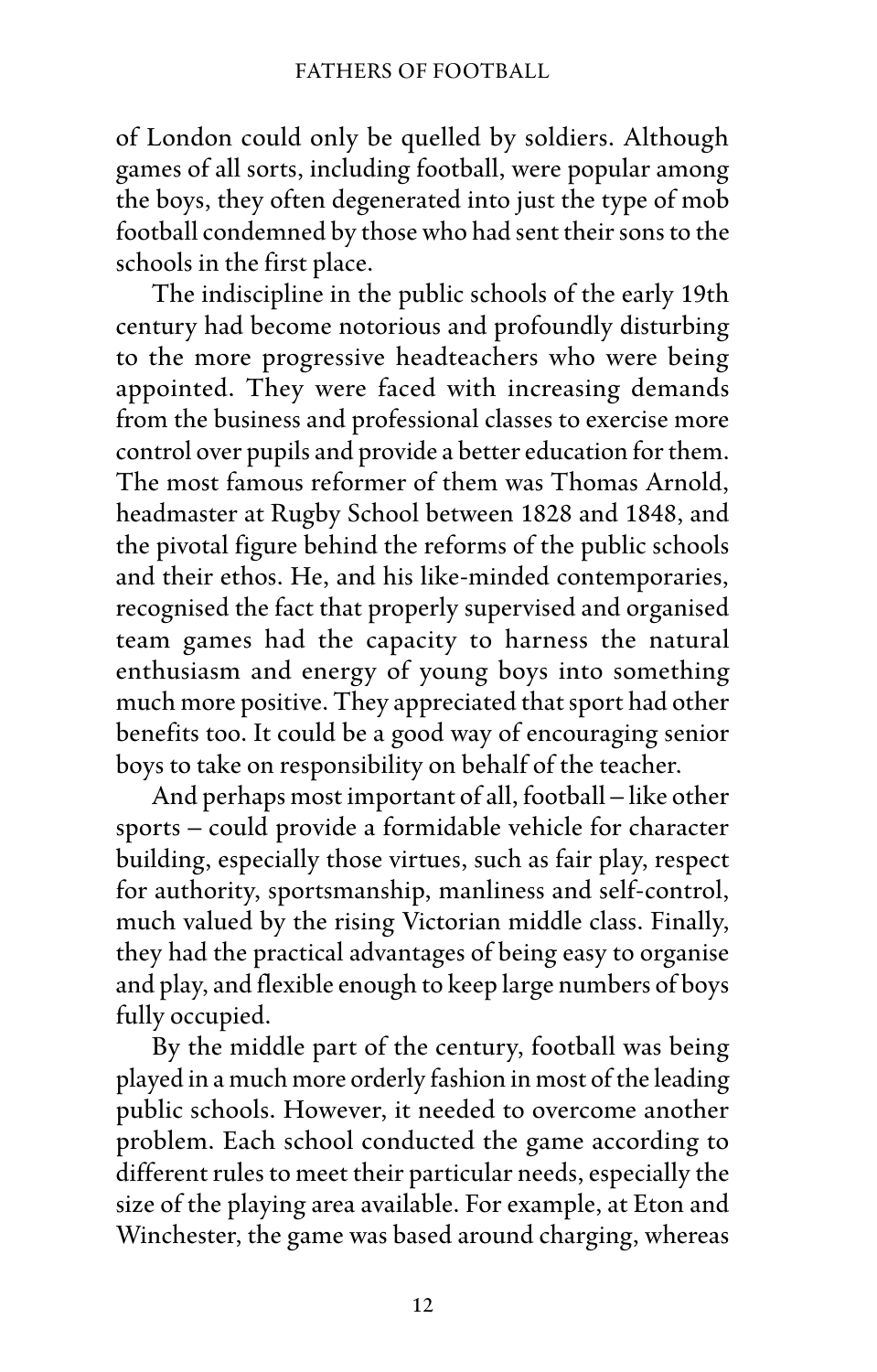of London could only be quelled by soldiers. Although games of all sorts, including football, were popular among the boys, they often degenerated into just the type of mob football condemned by those who had sent their sons to the schools in the first place.

The indiscipline in the public schools of the early 19th century had become notorious and profoundly disturbing to the more progressive headteachers who were being appointed. They were faced with increasing demands from the business and professional classes to exercise more control over pupils and provide a better education for them. The most famous reformer of them was Thomas Arnold, headmaster at Rugby School between 1828 and 1848, and the pivotal figure behind the reforms of the public schools and their ethos. He, and his like-minded contemporaries, recognised the fact that properly supervised and organised team games had the capacity to harness the natural enthusiasm and energy of young boys into something much more positive. They appreciated that sport had other benefits too. It could be a good way of encouraging senior boys to take on responsibility on behalf of the teacher.

And perhaps most important of all, football – like other sports – could provide a formidable vehicle for character building, especially those virtues, such as fair play, respect for authority, sportsmanship, manliness and self-control, much valued by the rising Victorian middle class. Finally, they had the practical advantages of being easy to organise and play, and flexible enough to keep large numbers of boys fully occupied.

By the middle part of the century, football was being played in a much more orderly fashion in most of the leading public schools. However, it needed to overcome another problem. Each school conducted the game according to different rules to meet their particular needs, especially the size of the playing area available. For example, at Eton and Winchester, the game was based around charging, whereas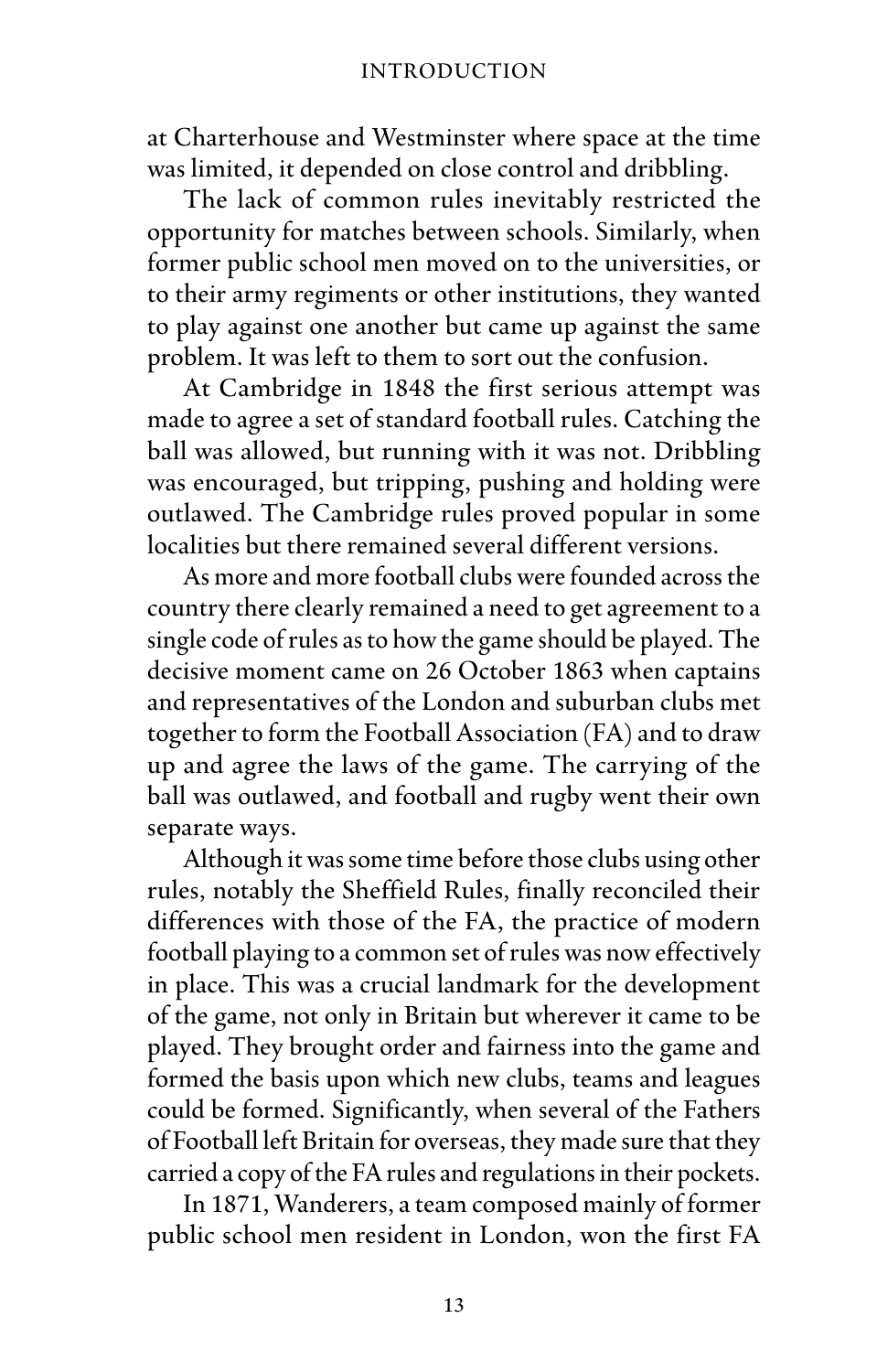at Charterhouse and Westminster where space at the time was limited, it depended on close control and dribbling.

The lack of common rules inevitably restricted the opportunity for matches between schools. Similarly, when former public school men moved on to the universities, or to their army regiments or other institutions, they wanted to play against one another but came up against the same problem. It was left to them to sort out the confusion.

At Cambridge in 1848 the first serious attempt was made to agree a set of standard football rules. Catching the ball was allowed, but running with it was not. Dribbling was encouraged, but tripping, pushing and holding were outlawed. The Cambridge rules proved popular in some localities but there remained several different versions.

As more and more football clubs were founded across the country there clearly remained a need to get agreement to a single code of rules as to how the game should be played. The decisive moment came on 26 October 1863 when captains and representatives of the London and suburban clubs met together to form the Football Association (FA) and to draw up and agree the laws of the game. The carrying of the ball was outlawed, and football and rugby went their own separate ways.

Although it was some time before those clubs using other rules, notably the Sheffield Rules, finally reconciled their differences with those of the FA, the practice of modern football playing to a common set of rules was now effectively in place. This was a crucial landmark for the development of the game, not only in Britain but wherever it came to be played. They brought order and fairness into the game and formed the basis upon which new clubs, teams and leagues could be formed. Significantly, when several of the Fathers of Football left Britain for overseas, they made sure that they carried a copy of the FA rules and regulations in their pockets.

In 1871, Wanderers, a team composed mainly of former public school men resident in London, won the first FA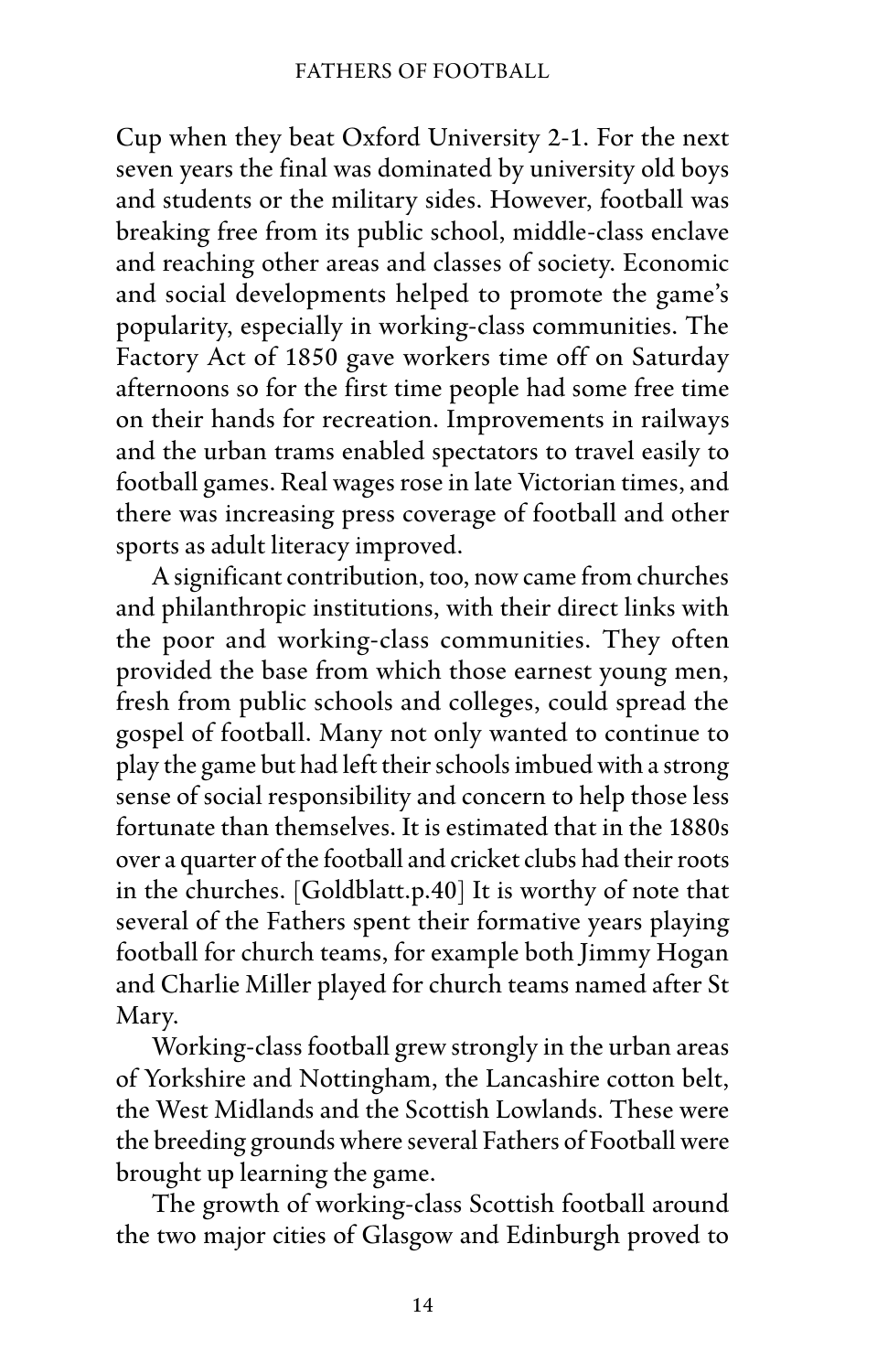Cup when they beat Oxford University 2-1. For the next seven years the final was dominated by university old boys and students or the military sides. However, football was breaking free from its public school, middle-class enclave and reaching other areas and classes of society. Economic and social developments helped to promote the game's popularity, especially in working-class communities. The Factory Act of 1850 gave workers time off on Saturday afternoons so for the first time people had some free time on their hands for recreation. Improvements in railways and the urban trams enabled spectators to travel easily to football games. Real wages rose in late Victorian times, and there was increasing press coverage of football and other sports as adult literacy improved.

A significant contribution, too, now came from churches and philanthropic institutions, with their direct links with the poor and working-class communities. They often provided the base from which those earnest young men, fresh from public schools and colleges, could spread the gospel of football. Many not only wanted to continue to play the game but had left their schools imbued with a strong sense of social responsibility and concern to help those less fortunate than themselves. It is estimated that in the 1880s over a quarter of the football and cricket clubs had their roots in the churches. [Goldblatt.p.40] It is worthy of note that several of the Fathers spent their formative years playing football for church teams, for example both Jimmy Hogan and Charlie Miller played for church teams named after St Mary.

Working-class football grew strongly in the urban areas of Yorkshire and Nottingham, the Lancashire cotton belt, the West Midlands and the Scottish Lowlands. These were the breeding grounds where several Fathers of Football were brought up learning the game.

The growth of working-class Scottish football around the two major cities of Glasgow and Edinburgh proved to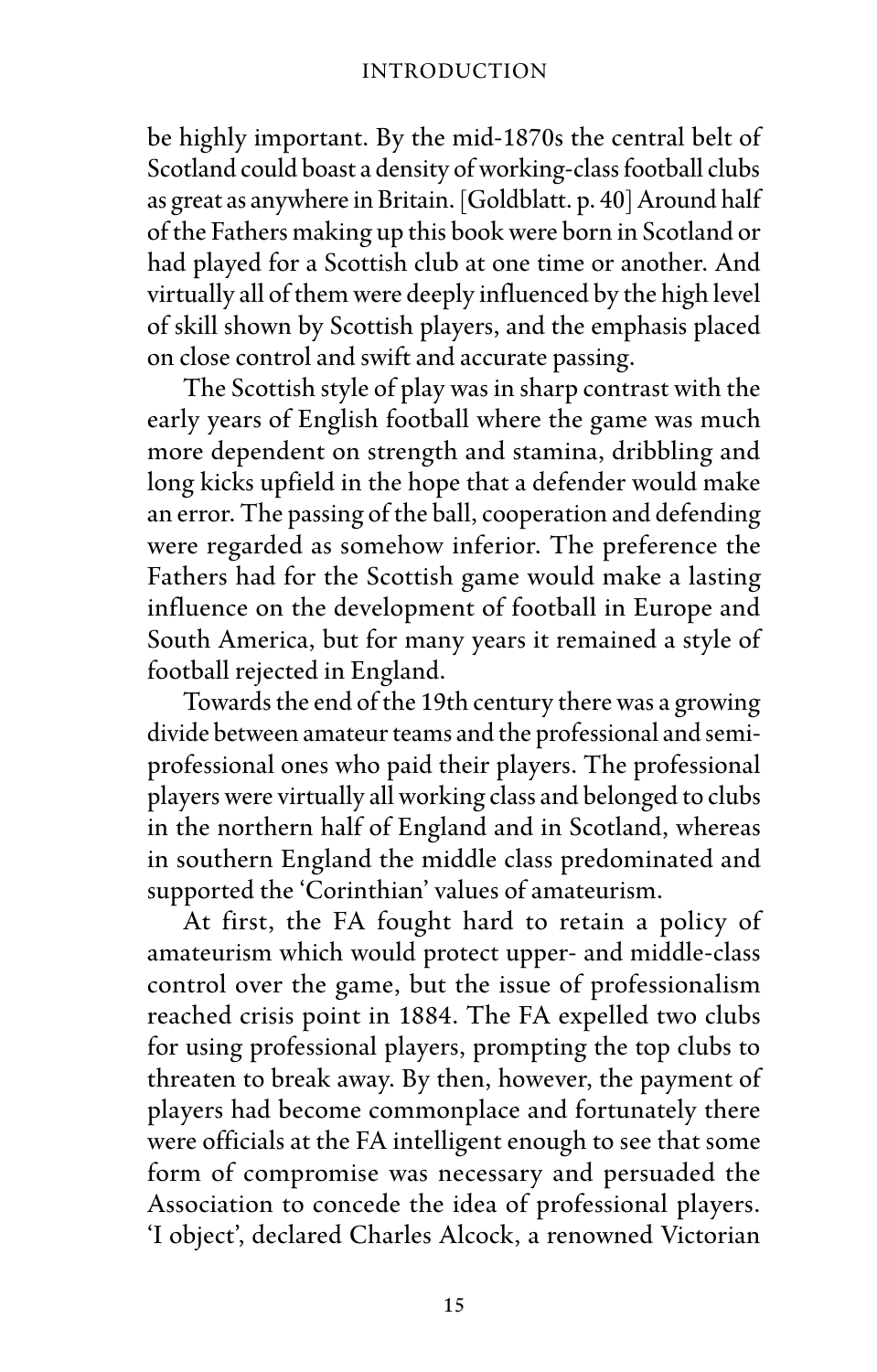be highly important. By the mid-1870s the central belt of Scotland could boast a density of working-class football clubs as great as anywhere in Britain. [Goldblatt. p. 40] Around half of the Fathers making up this book were born in Scotland or had played for a Scottish club at one time or another. And virtually all of them were deeply influenced by the high level of skill shown by Scottish players, and the emphasis placed on close control and swift and accurate passing.

The Scottish style of play was in sharp contrast with the early years of English football where the game was much more dependent on strength and stamina, dribbling and long kicks upfield in the hope that a defender would make an error. The passing of the ball, cooperation and defending were regarded as somehow inferior. The preference the Fathers had for the Scottish game would make a lasting influence on the development of football in Europe and South America, but for many years it remained a style of football rejected in England.

Towards the end of the 19th century there was a growing divide between amateur teams and the professional and semiprofessional ones who paid their players. The professional players were virtually all working class and belonged to clubs in the northern half of England and in Scotland, whereas in southern England the middle class predominated and supported the 'Corinthian' values of amateurism.

At first, the FA fought hard to retain a policy of amateurism which would protect upper- and middle-class control over the game, but the issue of professionalism reached crisis point in 1884. The FA expelled two clubs for using professional players, prompting the top clubs to threaten to break away. By then, however, the payment of players had become commonplace and fortunately there were officials at the FA intelligent enough to see that some form of compromise was necessary and persuaded the Association to concede the idea of professional players. 'I object', declared Charles Alcock, a renowned Victorian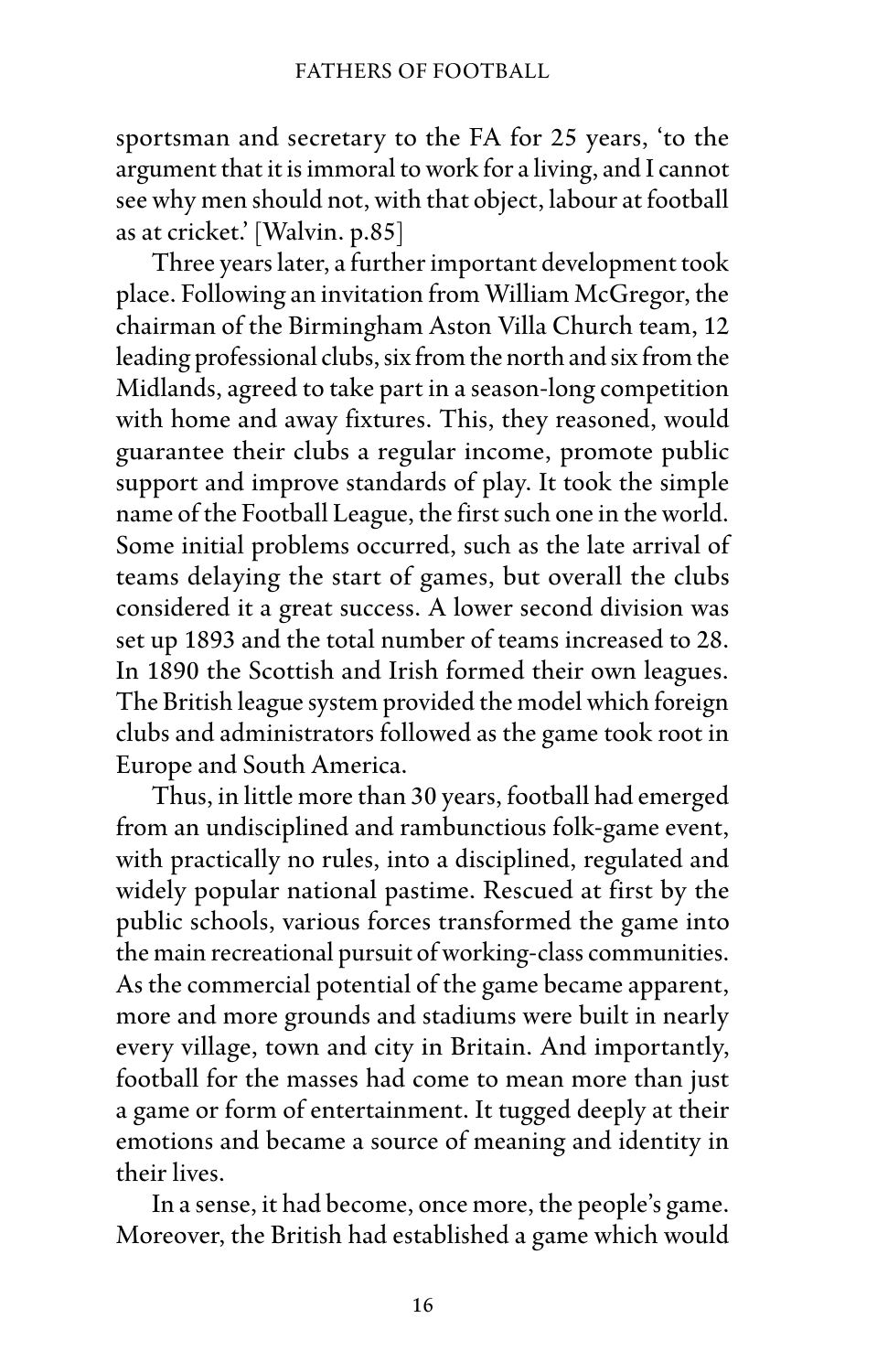sportsman and secretary to the FA for 25 years, 'to the argument that it is immoral to work for a living, and I cannot see why men should not, with that object, labour at football as at cricket.' [Walvin. p.85]

Three years later, a further important development took place. Following an invitation from William McGregor, the chairman of the Birmingham Aston Villa Church team, 12 leading professional clubs, six from the north and six from the Midlands, agreed to take part in a season-long competition with home and away fixtures. This, they reasoned, would guarantee their clubs a regular income, promote public support and improve standards of play. It took the simple name of the Football League, the first such one in the world. Some initial problems occurred, such as the late arrival of teams delaying the start of games, but overall the clubs considered it a great success. A lower second division was set up 1893 and the total number of teams increased to 28. In 1890 the Scottish and Irish formed their own leagues. The British league system provided the model which foreign clubs and administrators followed as the game took root in Europe and South America.

Thus, in little more than 30 years, football had emerged from an undisciplined and rambunctious folk-game event, with practically no rules, into a disciplined, regulated and widely popular national pastime. Rescued at first by the public schools, various forces transformed the game into the main recreational pursuit of working-class communities. As the commercial potential of the game became apparent, more and more grounds and stadiums were built in nearly every village, town and city in Britain. And importantly, football for the masses had come to mean more than just a game or form of entertainment. It tugged deeply at their emotions and became a source of meaning and identity in their lives.

In a sense, it had become, once more, the people's game. Moreover, the British had established a game which would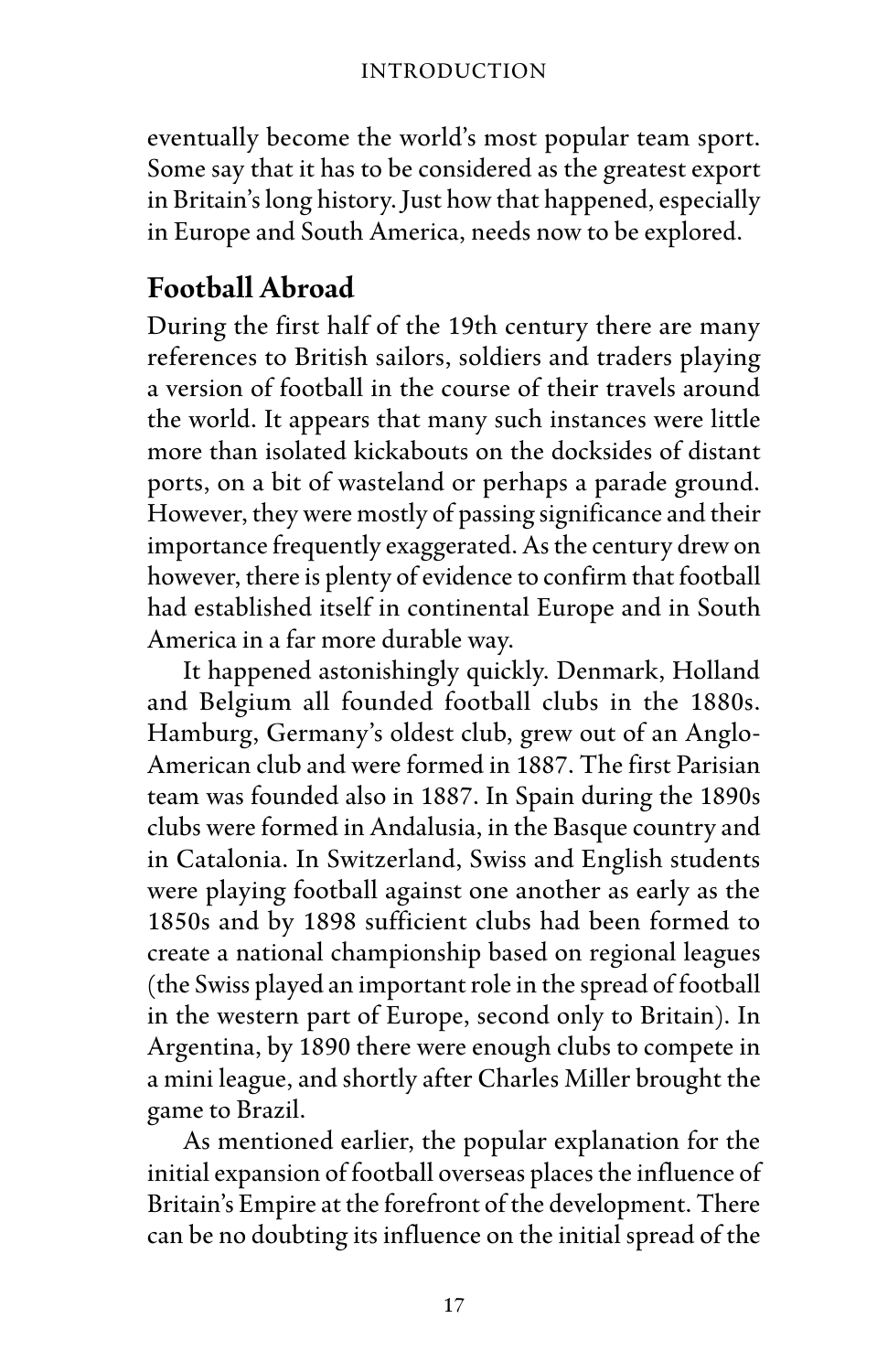eventually become the world's most popular team sport. Some say that it has to be considered as the greatest export in Britain's long history. Just how that happened, especially in Europe and South America, needs now to be explored.

#### **Football Abroad**

During the first half of the 19th century there are many references to British sailors, soldiers and traders playing a version of football in the course of their travels around the world. It appears that many such instances were little more than isolated kickabouts on the docksides of distant ports, on a bit of wasteland or perhaps a parade ground. However, they were mostly of passing significance and their importance frequently exaggerated. As the century drew on however, there is plenty of evidence to confirm that football had established itself in continental Europe and in South America in a far more durable way.

It happened astonishingly quickly. Denmark, Holland and Belgium all founded football clubs in the 1880s. Hamburg, Germany's oldest club, grew out of an Anglo-American club and were formed in 1887. The first Parisian team was founded also in 1887. In Spain during the 1890s clubs were formed in Andalusia, in the Basque country and in Catalonia. In Switzerland, Swiss and English students were playing football against one another as early as the 1850s and by 1898 sufficient clubs had been formed to create a national championship based on regional leagues (the Swiss played an important role in the spread of football in the western part of Europe, second only to Britain). In Argentina, by 1890 there were enough clubs to compete in a mini league, and shortly after Charles Miller brought the game to Brazil.

As mentioned earlier, the popular explanation for the initial expansion of football overseas places the influence of Britain's Empire at the forefront of the development. There can be no doubting its influence on the initial spread of the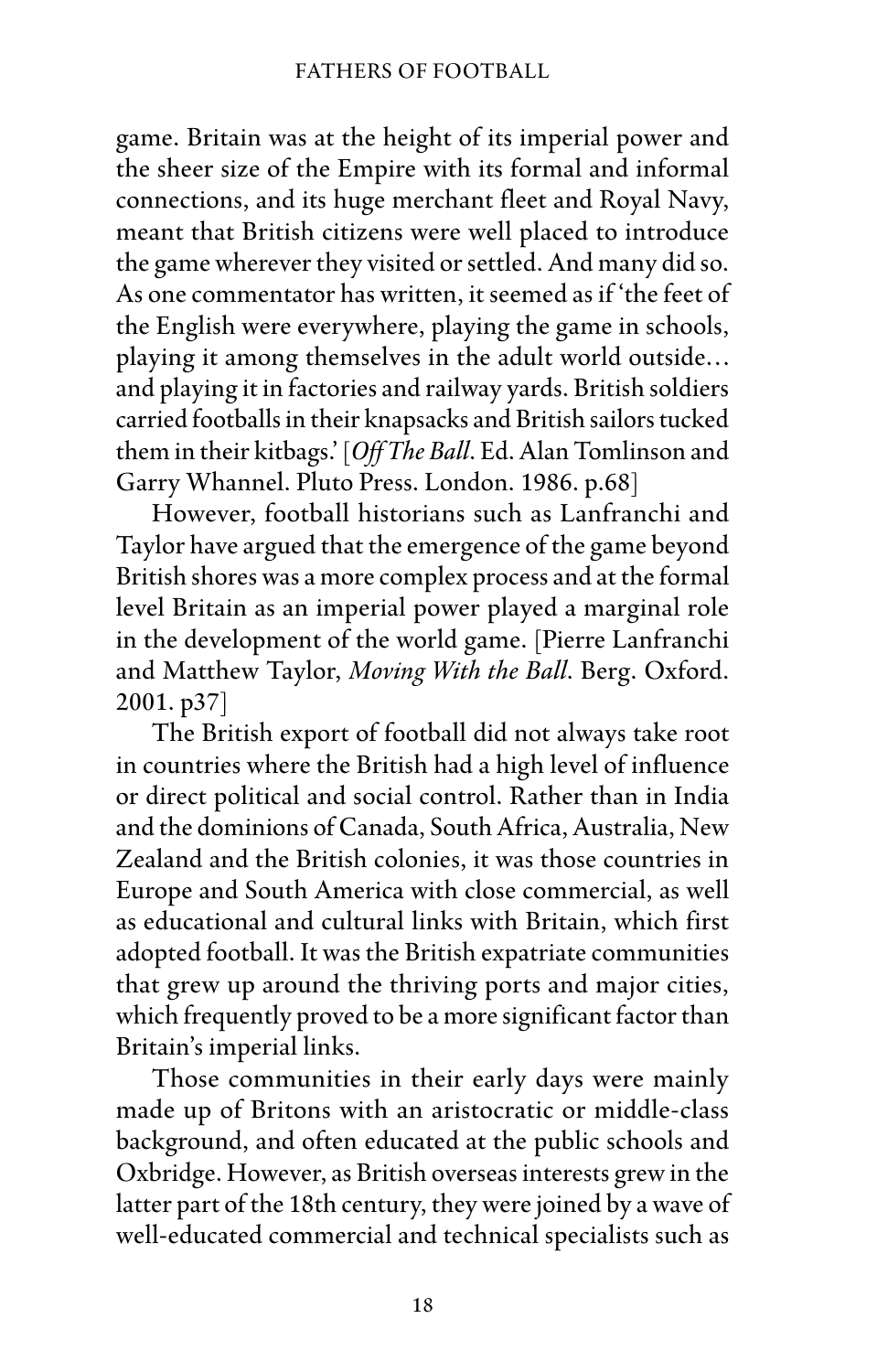game. Britain was at the height of its imperial power and the sheer size of the Empire with its formal and informal connections, and its huge merchant fleet and Royal Navy, meant that British citizens were well placed to introduce the game wherever they visited or settled. And many did so. As one commentator has written, it seemed as if 'the feet of the English were everywhere, playing the game in schools, playing it among themselves in the adult world outside… and playing it in factories and railway yards. British soldiers carried footballs in their knapsacks and British sailors tucked them in their kitbags.' [*Off The Ball*. Ed. Alan Tomlinson and Garry Whannel. Pluto Press. London. 1986. p.68]

However, football historians such as Lanfranchi and Taylor have argued that the emergence of the game beyond British shores was a more complex process and at the formal level Britain as an imperial power played a marginal role in the development of the world game. [Pierre Lanfranchi and Matthew Taylor, *Moving With the Ball*. Berg. Oxford. 2001. p37]

The British export of football did not always take root in countries where the British had a high level of influence or direct political and social control. Rather than in India and the dominions of Canada, South Africa, Australia, New Zealand and the British colonies, it was those countries in Europe and South America with close commercial, as well as educational and cultural links with Britain, which first adopted football. It was the British expatriate communities that grew up around the thriving ports and major cities, which frequently proved to be a more significant factor than Britain's imperial links.

Those communities in their early days were mainly made up of Britons with an aristocratic or middle-class background, and often educated at the public schools and Oxbridge. However, as British overseas interests grew in the latter part of the 18th century, they were joined by a wave of well-educated commercial and technical specialists such as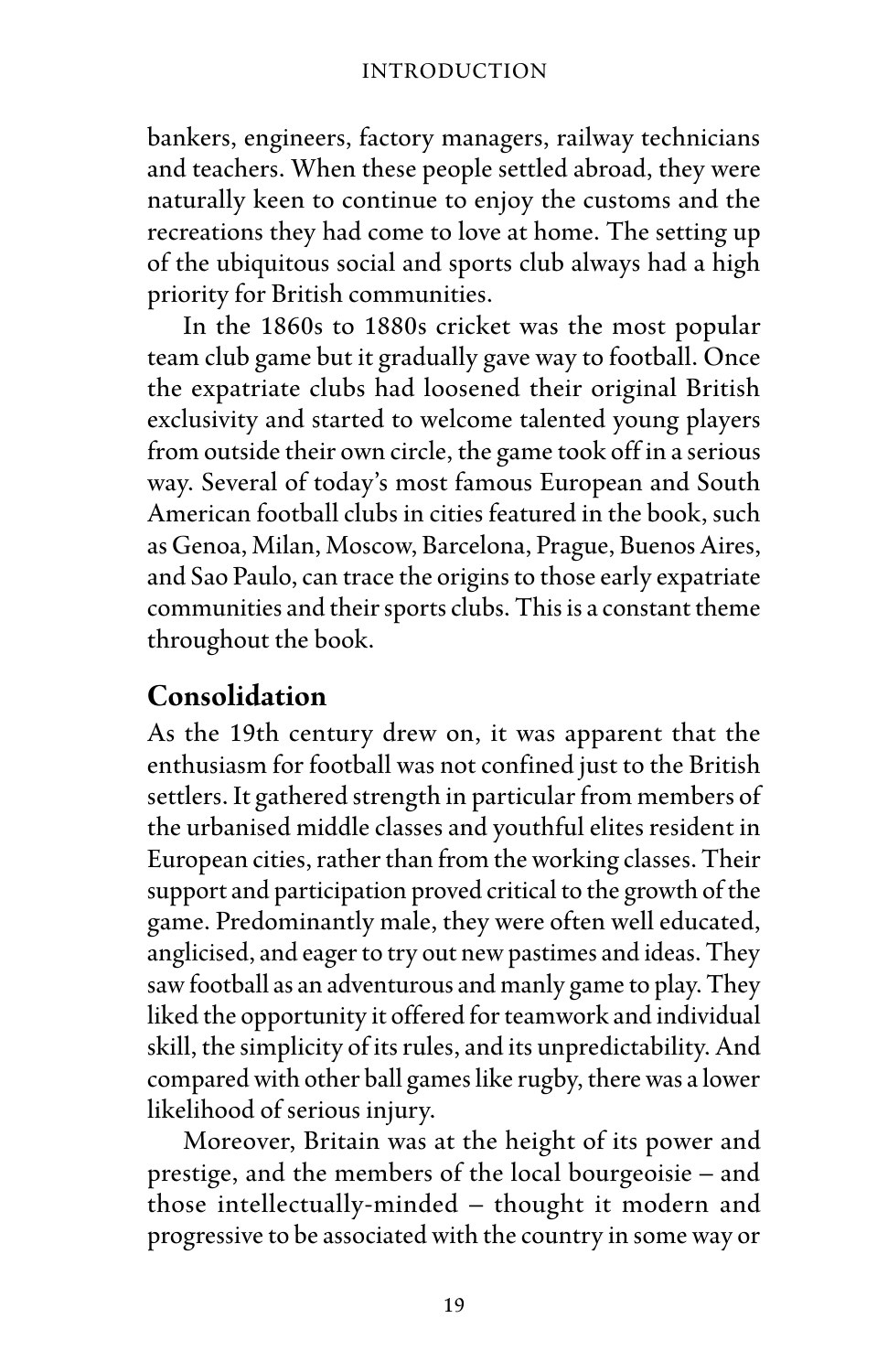bankers, engineers, factory managers, railway technicians and teachers. When these people settled abroad, they were naturally keen to continue to enjoy the customs and the recreations they had come to love at home. The setting up of the ubiquitous social and sports club always had a high priority for British communities.

In the 1860s to 1880s cricket was the most popular team club game but it gradually gave way to football. Once the expatriate clubs had loosened their original British exclusivity and started to welcome talented young players from outside their own circle, the game took off in a serious way. Several of today's most famous European and South American football clubs in cities featured in the book, such as Genoa, Milan, Moscow, Barcelona, Prague, Buenos Aires, and Sao Paulo, can trace the origins to those early expatriate communities and their sports clubs. This is a constant theme throughout the book.

#### **Consolidation**

As the 19th century drew on, it was apparent that the enthusiasm for football was not confined just to the British settlers. It gathered strength in particular from members of the urbanised middle classes and youthful elites resident in European cities, rather than from the working classes. Their support and participation proved critical to the growth of the game. Predominantly male, they were often well educated, anglicised, and eager to try out new pastimes and ideas. They saw football as an adventurous and manly game to play. They liked the opportunity it offered for teamwork and individual skill, the simplicity of its rules, and its unpredictability. And compared with other ball games like rugby, there was a lower likelihood of serious injury.

Moreover, Britain was at the height of its power and prestige, and the members of the local bourgeoisie – and those intellectually-minded – thought it modern and progressive to be associated with the country in some way or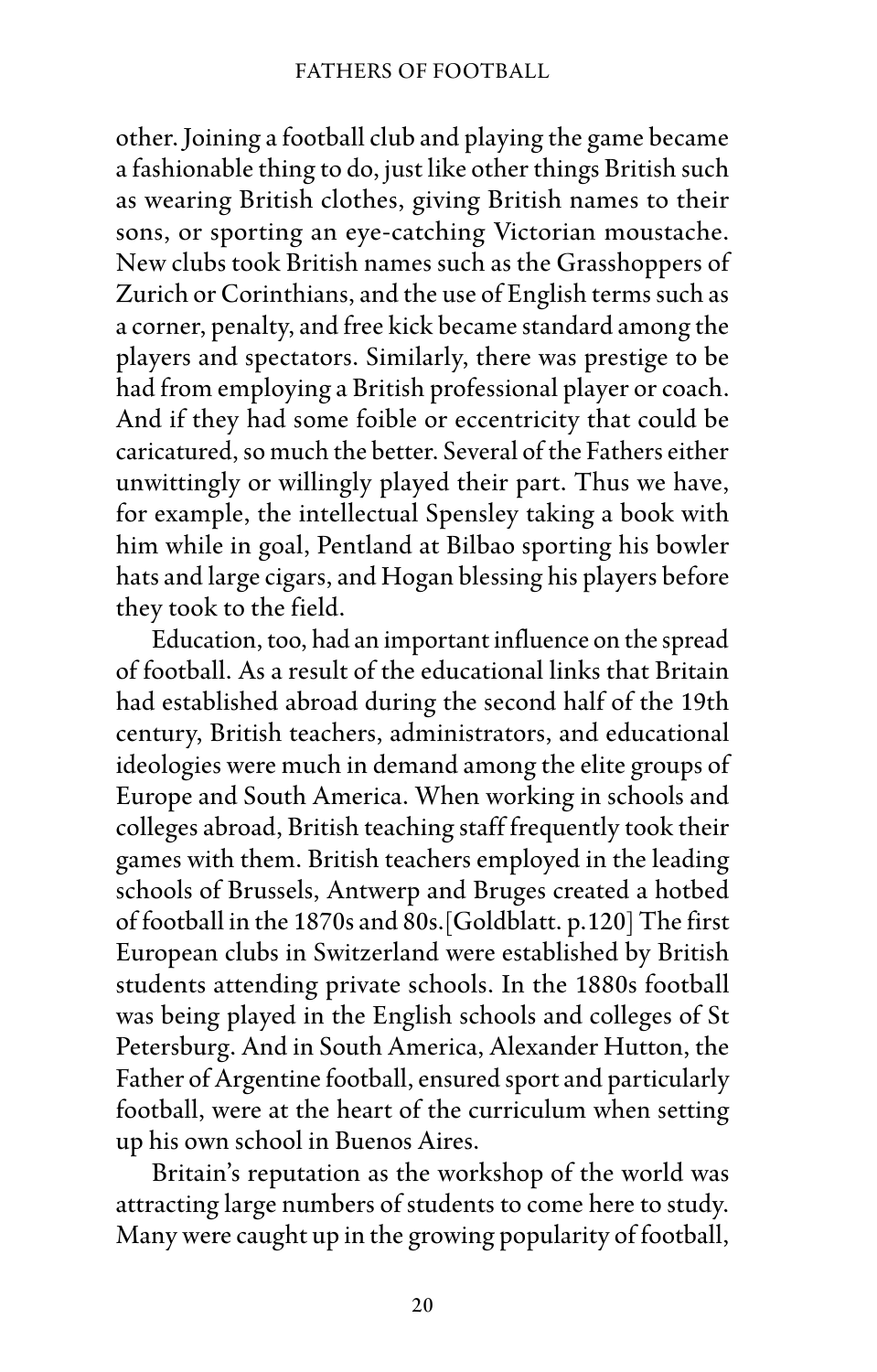other. Joining a football club and playing the game became a fashionable thing to do, just like other things British such as wearing British clothes, giving British names to their sons, or sporting an eye-catching Victorian moustache. New clubs took British names such as the Grasshoppers of Zurich or Corinthians, and the use of English terms such as a corner, penalty, and free kick became standard among the players and spectators. Similarly, there was prestige to be had from employing a British professional player or coach. And if they had some foible or eccentricity that could be caricatured, so much the better. Several of the Fathers either unwittingly or willingly played their part. Thus we have, for example, the intellectual Spensley taking a book with him while in goal, Pentland at Bilbao sporting his bowler hats and large cigars, and Hogan blessing his players before they took to the field.

Education, too, had an important influence on the spread of football. As a result of the educational links that Britain had established abroad during the second half of the 19th century, British teachers, administrators, and educational ideologies were much in demand among the elite groups of Europe and South America. When working in schools and colleges abroad, British teaching staff frequently took their games with them. British teachers employed in the leading schools of Brussels, Antwerp and Bruges created a hotbed of football in the 1870s and 80s.[Goldblatt. p.120] The first European clubs in Switzerland were established by British students attending private schools. In the 1880s football was being played in the English schools and colleges of St Petersburg. And in South America, Alexander Hutton, the Father of Argentine football, ensured sport and particularly football, were at the heart of the curriculum when setting up his own school in Buenos Aires.

Britain's reputation as the workshop of the world was attracting large numbers of students to come here to study. Many were caught up in the growing popularity of football,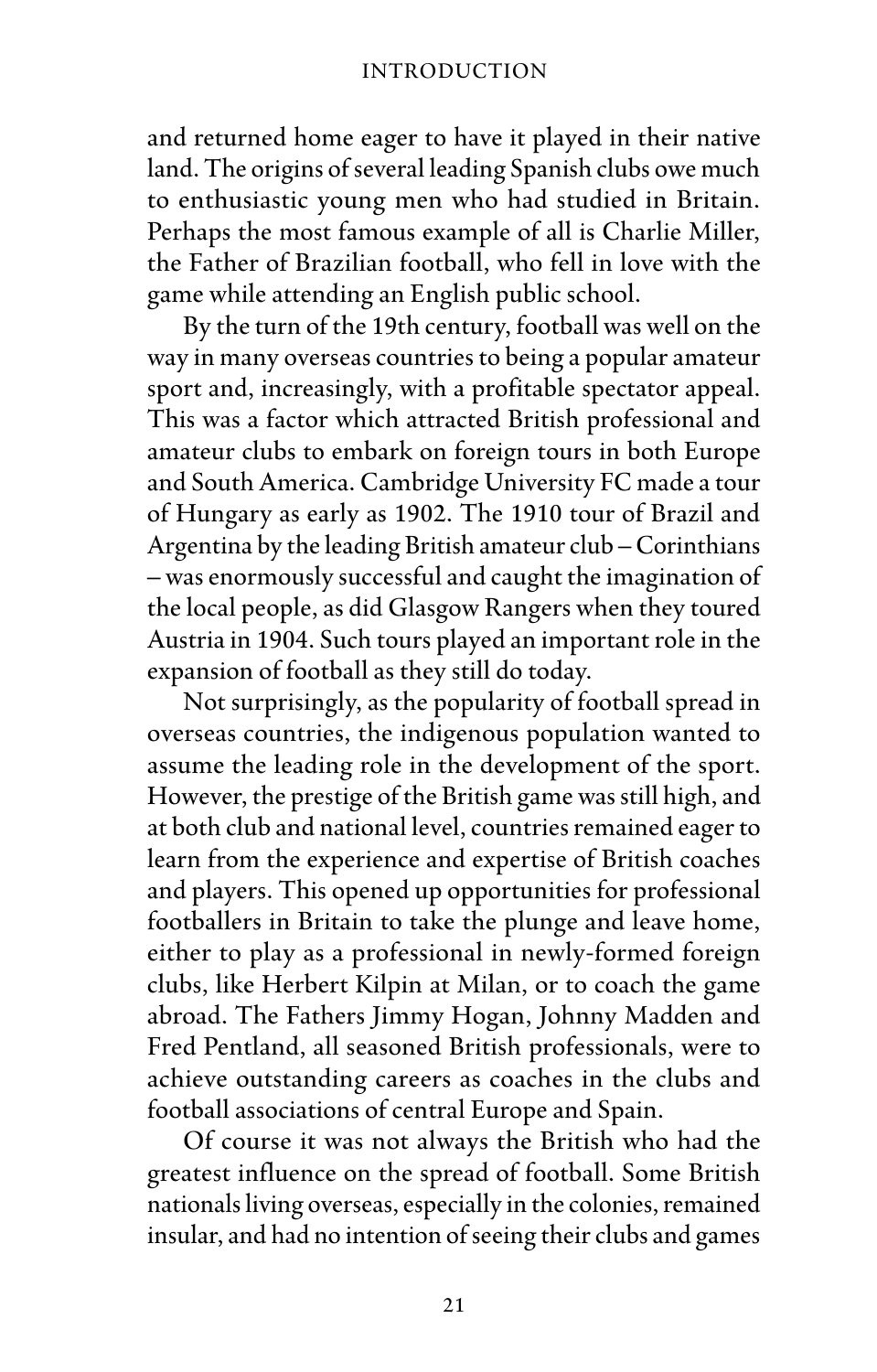and returned home eager to have it played in their native land. The origins of several leading Spanish clubs owe much to enthusiastic young men who had studied in Britain. Perhaps the most famous example of all is Charlie Miller, the Father of Brazilian football, who fell in love with the game while attending an English public school.

By the turn of the 19th century, football was well on the way in many overseas countries to being a popular amateur sport and, increasingly, with a profitable spectator appeal. This was a factor which attracted British professional and amateur clubs to embark on foreign tours in both Europe and South America. Cambridge University FC made a tour of Hungary as early as 1902. The 1910 tour of Brazil and Argentina by the leading British amateur club – Corinthians – was enormously successful and caught the imagination of the local people, as did Glasgow Rangers when they toured Austria in 1904. Such tours played an important role in the expansion of football as they still do today.

Not surprisingly, as the popularity of football spread in overseas countries, the indigenous population wanted to assume the leading role in the development of the sport. However, the prestige of the British game was still high, and at both club and national level, countries remained eager to learn from the experience and expertise of British coaches and players. This opened up opportunities for professional footballers in Britain to take the plunge and leave home, either to play as a professional in newly-formed foreign clubs, like Herbert Kilpin at Milan, or to coach the game abroad. The Fathers Jimmy Hogan, Johnny Madden and Fred Pentland, all seasoned British professionals, were to achieve outstanding careers as coaches in the clubs and football associations of central Europe and Spain.

Of course it was not always the British who had the greatest influence on the spread of football. Some British nationals living overseas, especially in the colonies, remained insular, and had no intention of seeing their clubs and games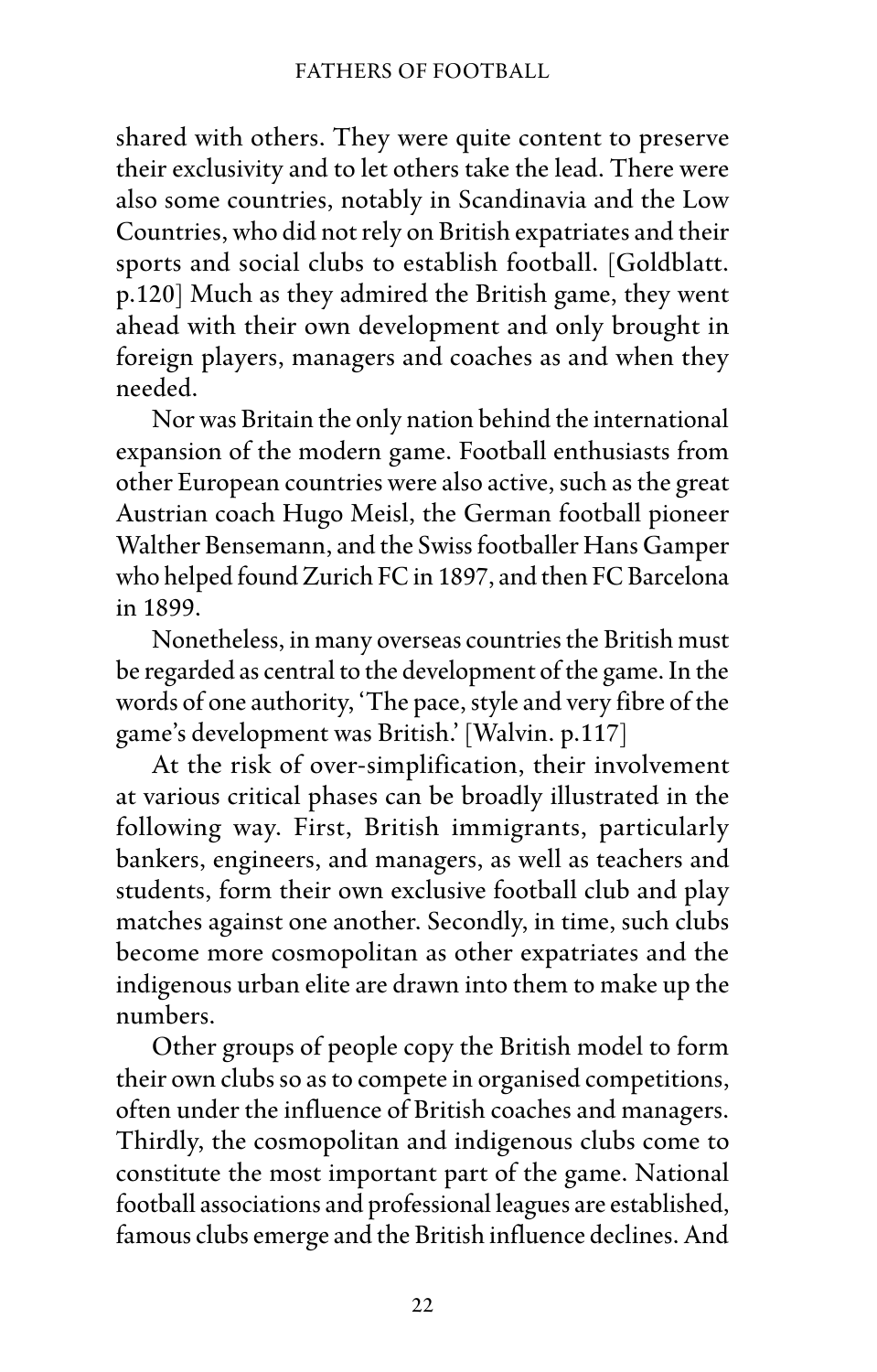shared with others. They were quite content to preserve their exclusivity and to let others take the lead. There were also some countries, notably in Scandinavia and the Low Countries, who did not rely on British expatriates and their sports and social clubs to establish football. [Goldblatt. p.120] Much as they admired the British game, they went ahead with their own development and only brought in foreign players, managers and coaches as and when they needed.

Nor was Britain the only nation behind the international expansion of the modern game. Football enthusiasts from other European countries were also active, such as the great Austrian coach Hugo Meisl, the German football pioneer Walther Bensemann, and the Swiss footballer Hans Gamper who helped found Zurich FC in 1897, and then FC Barcelona in 1899.

Nonetheless, in many overseas countries the British must be regarded as central to the development of the game. In the words of one authority, 'The pace, style and very fibre of the game's development was British.' [Walvin. p.117]

At the risk of over-simplification, their involvement at various critical phases can be broadly illustrated in the following way. First, British immigrants, particularly bankers, engineers, and managers, as well as teachers and students, form their own exclusive football club and play matches against one another. Secondly, in time, such clubs become more cosmopolitan as other expatriates and the indigenous urban elite are drawn into them to make up the numbers.

Other groups of people copy the British model to form their own clubs so as to compete in organised competitions, often under the influence of British coaches and managers. Thirdly, the cosmopolitan and indigenous clubs come to constitute the most important part of the game. National football associations and professional leagues are established, famous clubs emerge and the British influence declines. And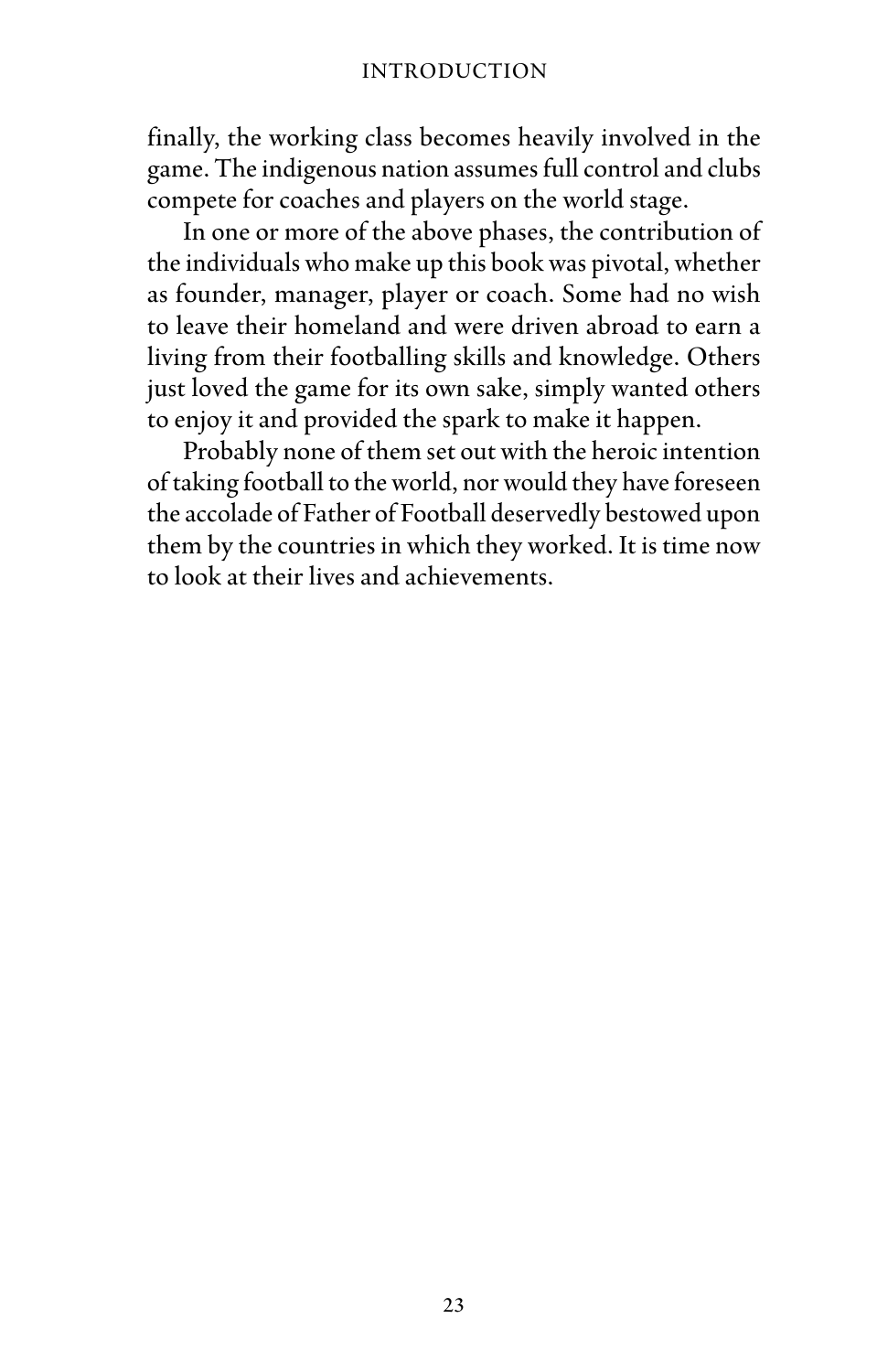finally, the working class becomes heavily involved in the game. The indigenous nation assumes full control and clubs compete for coaches and players on the world stage.

In one or more of the above phases, the contribution of the individuals who make up this book was pivotal, whether as founder, manager, player or coach. Some had no wish to leave their homeland and were driven abroad to earn a living from their footballing skills and knowledge. Others just loved the game for its own sake, simply wanted others to enjoy it and provided the spark to make it happen.

Probably none of them set out with the heroic intention of taking football to the world, nor would they have foreseen the accolade of Father of Football deservedly bestowed upon them by the countries in which they worked. It is time now to look at their lives and achievements.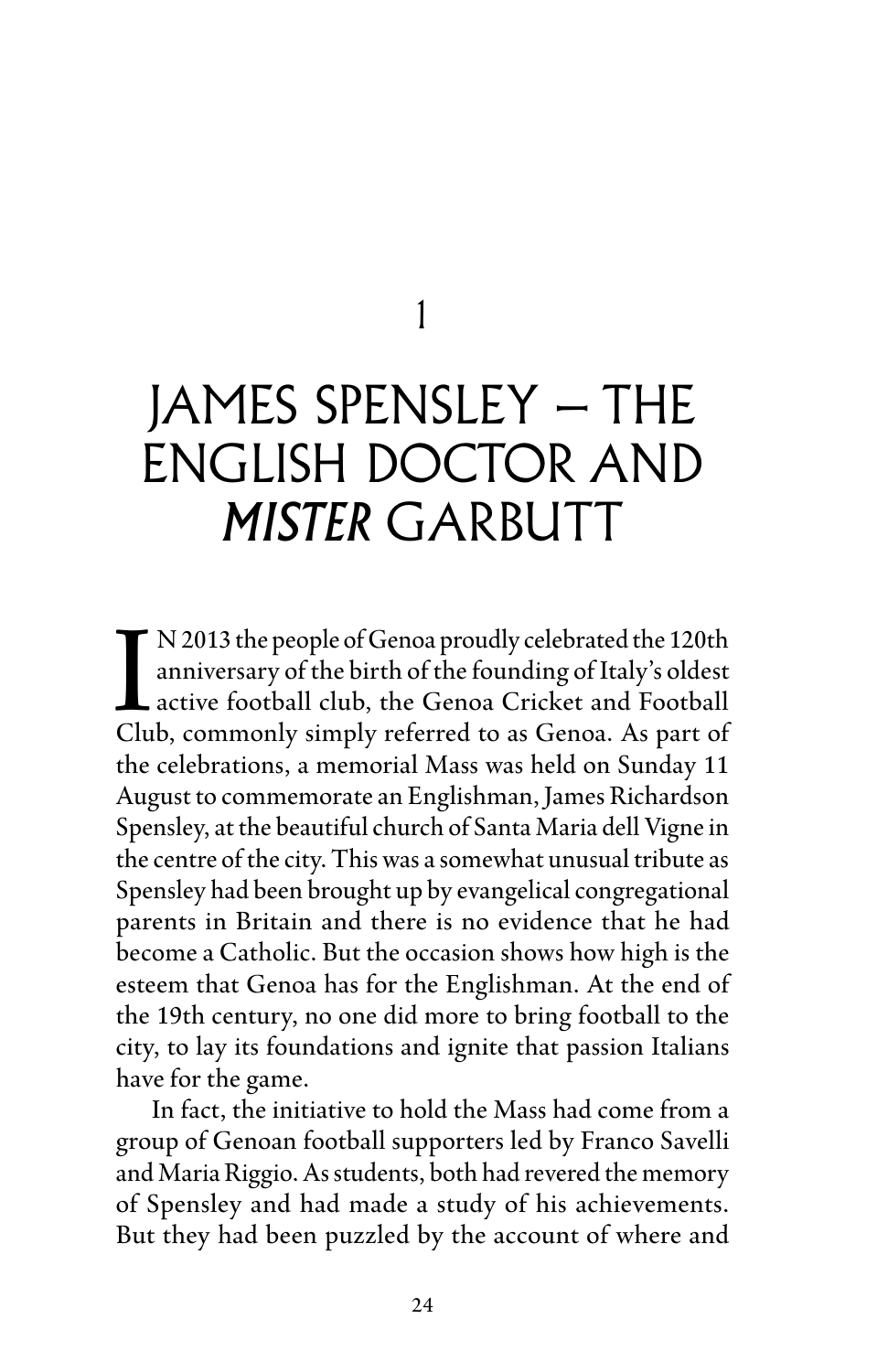1

### James Spensley – the English Doctor and *Mister* Garbutt

IN 2013 the people of Genoa proudly celebrated the 120th<br>anniversary of the birth of the founding of Italy's oldest<br>active football club, the Genoa Cricket and Football<br>Club, commonly simply referred to as Genoa. As part o  $\sim$  N 2013 the people of Genoa proudly celebrated the 120th anniversary of the birth of the founding of Italy's oldest active football club, the Genoa Cricket and Football the celebrations, a memorial Mass was held on Sunday 11 August to commemorate an Englishman, James Richardson Spensley, at the beautiful church of Santa Maria dell Vigne in the centre of the city. This was a somewhat unusual tribute as Spensley had been brought up by evangelical congregational parents in Britain and there is no evidence that he had become a Catholic. But the occasion shows how high is the esteem that Genoa has for the Englishman. At the end of the 19th century, no one did more to bring football to the city, to lay its foundations and ignite that passion Italians have for the game.

In fact, the initiative to hold the Mass had come from a group of Genoan football supporters led by Franco Savelli and Maria Riggio. As students, both had revered the memory of Spensley and had made a study of his achievements. But they had been puzzled by the account of where and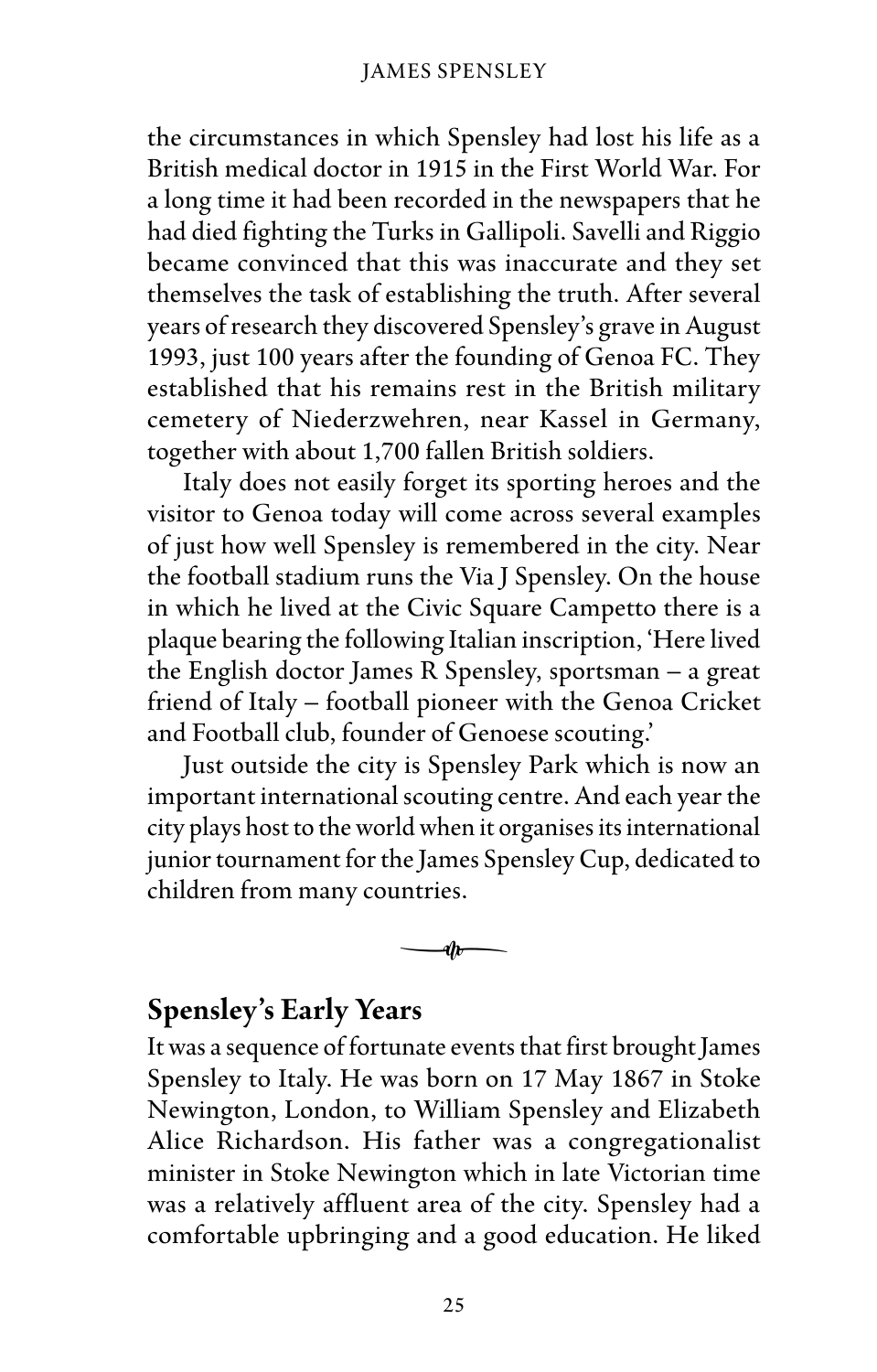the circumstances in which Spensley had lost his life as a British medical doctor in 1915 in the First World War. For a long time it had been recorded in the newspapers that he had died fighting the Turks in Gallipoli. Savelli and Riggio became convinced that this was inaccurate and they set themselves the task of establishing the truth. After several years of research they discovered Spensley's grave in August 1993, just 100 years after the founding of Genoa FC. They established that his remains rest in the British military cemetery of Niederzwehren, near Kassel in Germany, together with about 1,700 fallen British soldiers.

Italy does not easily forget its sporting heroes and the visitor to Genoa today will come across several examples of just how well Spensley is remembered in the city. Near the football stadium runs the Via J Spensley. On the house in which he lived at the Civic Square Campetto there is a plaque bearing the following Italian inscription, 'Here lived the English doctor James R Spensley, sportsman – a great friend of Italy – football pioneer with the Genoa Cricket and Football club, founder of Genoese scouting.'

Just outside the city is Spensley Park which is now an important international scouting centre. And each year the city plays host to the world when it organises its international junior tournament for the James Spensley Cup, dedicated to children from many countries.

 $\overline{\phantom{a}}$ 

#### **Spensley's Early Years**

It was a sequence of fortunate events that first brought James Spensley to Italy. He was born on 17 May 1867 in Stoke Newington, London, to William Spensley and Elizabeth Alice Richardson. His father was a congregationalist minister in Stoke Newington which in late Victorian time was a relatively affluent area of the city. Spensley had a comfortable upbringing and a good education. He liked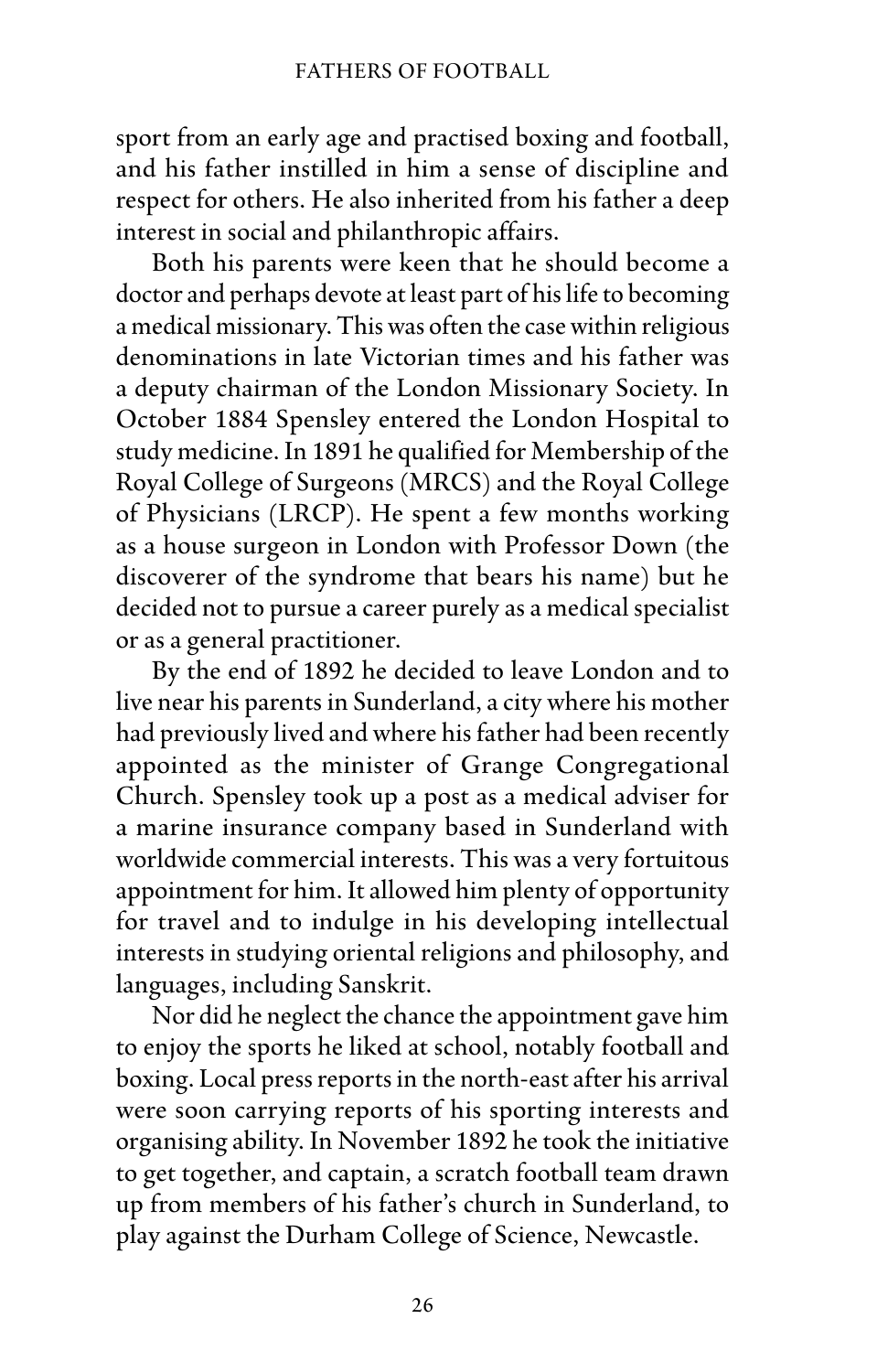sport from an early age and practised boxing and football, and his father instilled in him a sense of discipline and respect for others. He also inherited from his father a deep interest in social and philanthropic affairs.

Both his parents were keen that he should become a doctor and perhaps devote at least part of his life to becoming a medical missionary. This was often the case within religious denominations in late Victorian times and his father was a deputy chairman of the London Missionary Society. In October 1884 Spensley entered the London Hospital to study medicine. In 1891 he qualified for Membership of the Royal College of Surgeons (MRCS) and the Royal College of Physicians (LRCP). He spent a few months working as a house surgeon in London with Professor Down (the discoverer of the syndrome that bears his name) but he decided not to pursue a career purely as a medical specialist or as a general practitioner.

By the end of 1892 he decided to leave London and to live near his parents in Sunderland, a city where his mother had previously lived and where his father had been recently appointed as the minister of Grange Congregational Church. Spensley took up a post as a medical adviser for a marine insurance company based in Sunderland with worldwide commercial interests. This was a very fortuitous appointment for him. It allowed him plenty of opportunity for travel and to indulge in his developing intellectual interests in studying oriental religions and philosophy, and languages, including Sanskrit.

Nor did he neglect the chance the appointment gave him to enjoy the sports he liked at school, notably football and boxing. Local press reports in the north-east after his arrival were soon carrying reports of his sporting interests and organising ability. In November 1892 he took the initiative to get together, and captain, a scratch football team drawn up from members of his father's church in Sunderland, to play against the Durham College of Science, Newcastle.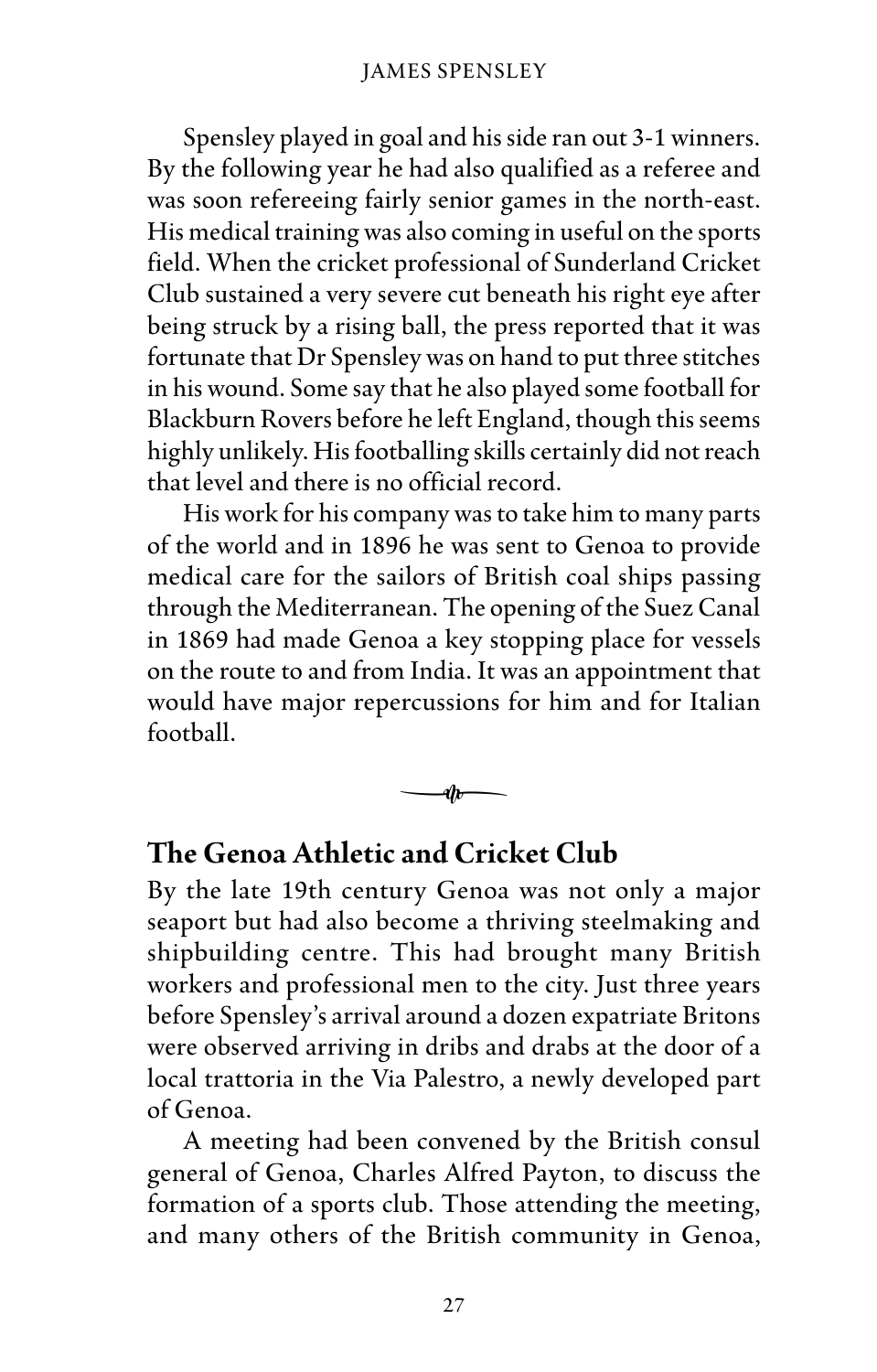Spensley played in goal and his side ran out 3-1 winners. By the following year he had also qualified as a referee and was soon refereeing fairly senior games in the north-east. His medical training was also coming in useful on the sports field. When the cricket professional of Sunderland Cricket Club sustained a very severe cut beneath his right eye after being struck by a rising ball, the press reported that it was fortunate that Dr Spensley was on hand to put three stitches in his wound. Some say that he also played some football for Blackburn Rovers before he left England, though this seems highly unlikely. His footballing skills certainly did not reach that level and there is no official record.

His work for his company was to take him to many parts of the world and in 1896 he was sent to Genoa to provide medical care for the sailors of British coal ships passing through the Mediterranean. The opening of the Suez Canal in 1869 had made Genoa a key stopping place for vessels on the route to and from India. It was an appointment that would have major repercussions for him and for Italian football.

 $\overline{\rightarrow}$ 

#### **The Genoa Athletic and Cricket Club**

By the late 19th century Genoa was not only a major seaport but had also become a thriving steelmaking and shipbuilding centre. This had brought many British workers and professional men to the city. Just three years before Spensley's arrival around a dozen expatriate Britons were observed arriving in dribs and drabs at the door of a local trattoria in the Via Palestro, a newly developed part of Genoa.

A meeting had been convened by the British consul general of Genoa, Charles Alfred Payton, to discuss the formation of a sports club. Those attending the meeting, and many others of the British community in Genoa,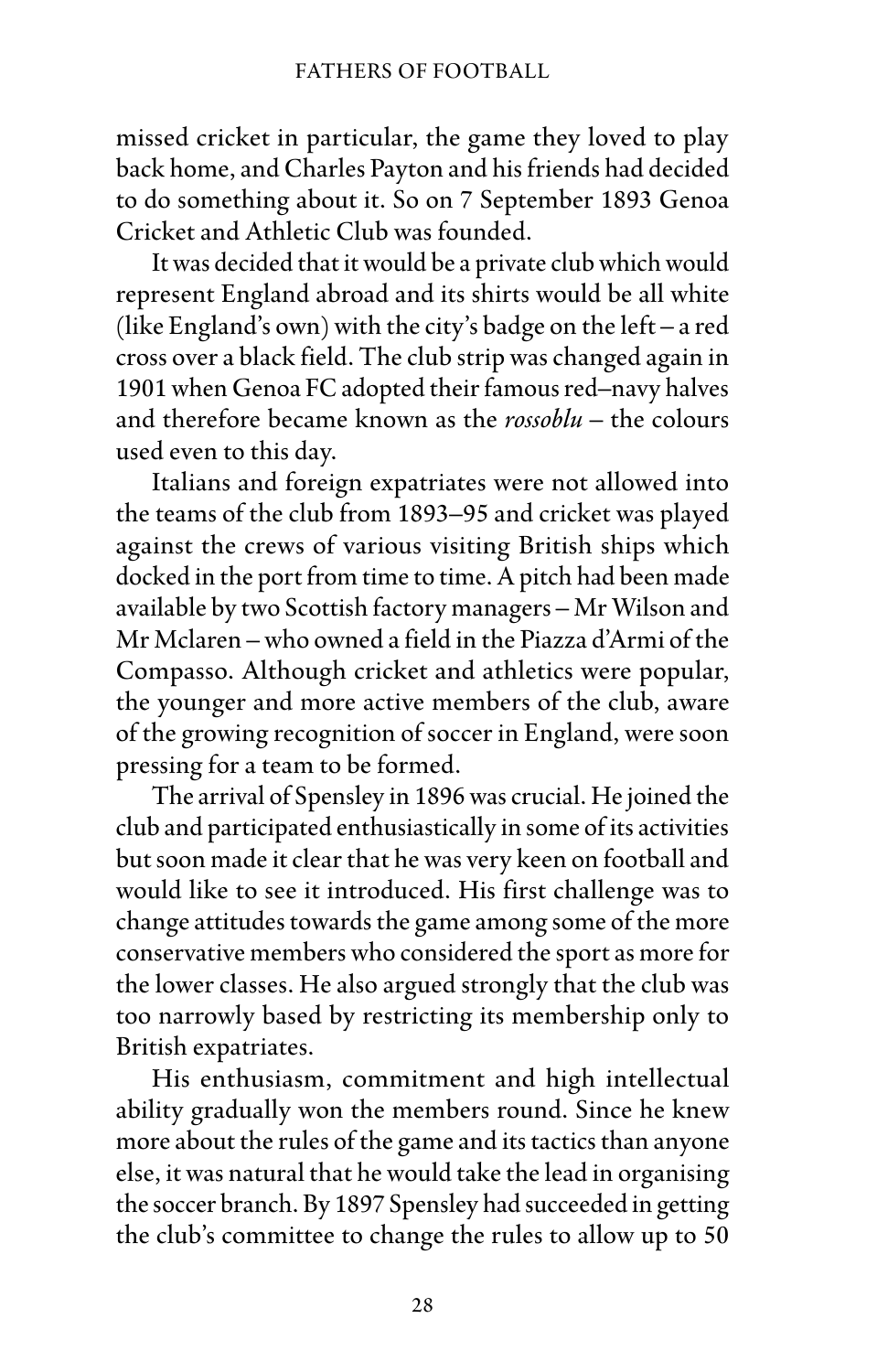missed cricket in particular, the game they loved to play back home, and Charles Payton and his friends had decided to do something about it. So on 7 September 1893 Genoa Cricket and Athletic Club was founded.

It was decided that it would be a private club which would represent England abroad and its shirts would be all white (like England's own) with the city's badge on the left – a red cross over a black field. The club strip was changed again in 1901 when Genoa FC adopted their famous red–navy halves and therefore became known as the *rossoblu* – the colours used even to this day.

Italians and foreign expatriates were not allowed into the teams of the club from 1893–95 and cricket was played against the crews of various visiting British ships which docked in the port from time to time. A pitch had been made available by two Scottish factory managers – Mr Wilson and Mr Mclaren – who owned a field in the Piazza d'Armi of the Compasso. Although cricket and athletics were popular, the younger and more active members of the club, aware of the growing recognition of soccer in England, were soon pressing for a team to be formed.

The arrival of Spensley in 1896 was crucial. He joined the club and participated enthusiastically in some of its activities but soon made it clear that he was very keen on football and would like to see it introduced. His first challenge was to change attitudes towards the game among some of the more conservative members who considered the sport as more for the lower classes. He also argued strongly that the club was too narrowly based by restricting its membership only to British expatriates.

His enthusiasm, commitment and high intellectual ability gradually won the members round. Since he knew more about the rules of the game and its tactics than anyone else, it was natural that he would take the lead in organising the soccer branch. By 1897 Spensley had succeeded in getting the club's committee to change the rules to allow up to 50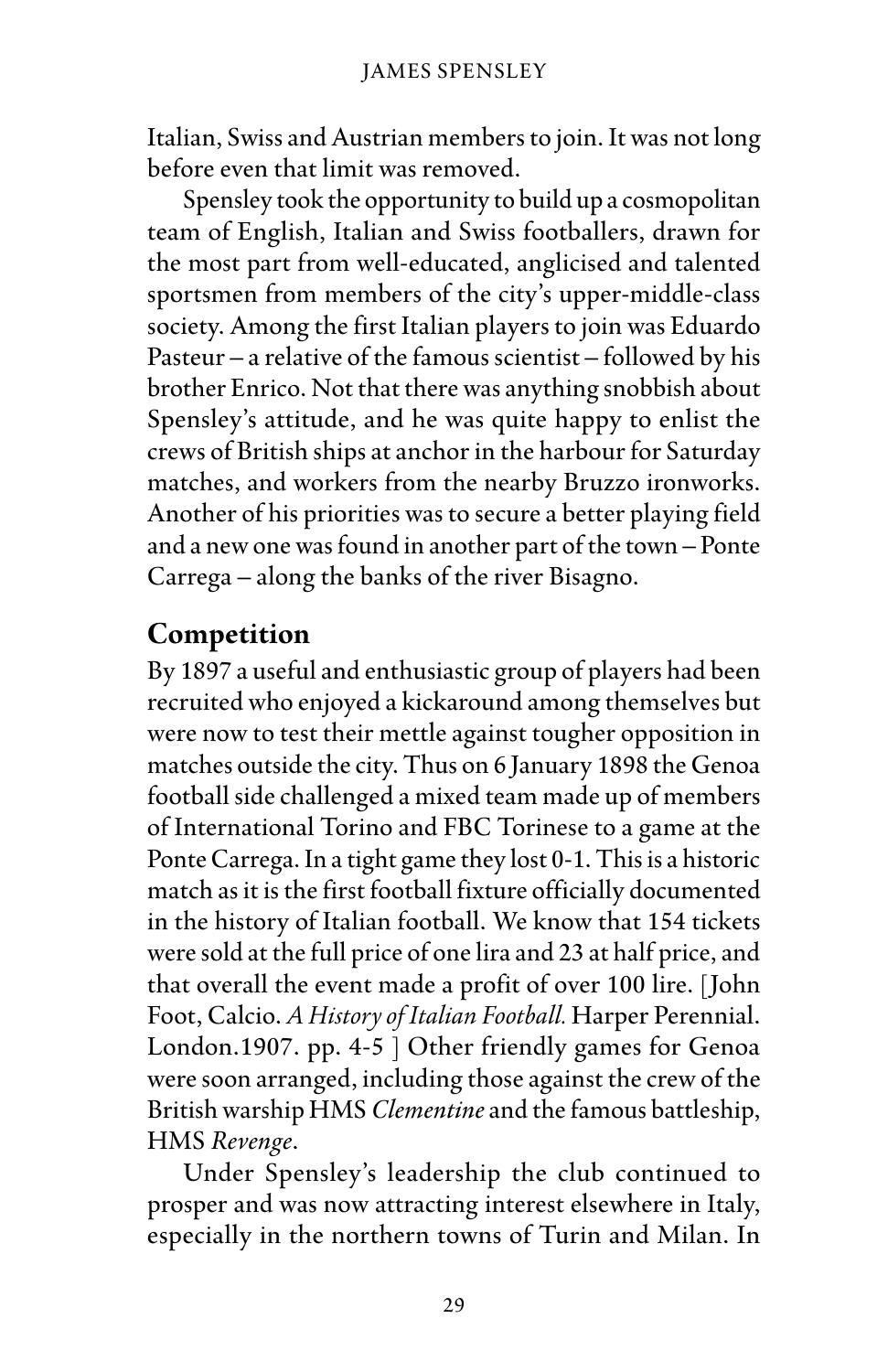Italian, Swiss and Austrian members to join. It was not long before even that limit was removed.

Spensley took the opportunity to build up a cosmopolitan team of English, Italian and Swiss footballers, drawn for the most part from well-educated, anglicised and talented sportsmen from members of the city's upper-middle-class society. Among the first Italian players to join was Eduardo Pasteur – a relative of the famous scientist – followed by his brother Enrico. Not that there was anything snobbish about Spensley's attitude, and he was quite happy to enlist the crews of British ships at anchor in the harbour for Saturday matches, and workers from the nearby Bruzzo ironworks. Another of his priorities was to secure a better playing field and a new one was found in another part of the town – Ponte Carrega – along the banks of the river Bisagno.

#### **Competition**

By 1897 a useful and enthusiastic group of players had been recruited who enjoyed a kickaround among themselves but were now to test their mettle against tougher opposition in matches outside the city. Thus on 6 January 1898 the Genoa football side challenged a mixed team made up of members of International Torino and FBC Torinese to a game at the Ponte Carrega. In a tight game they lost 0-1. This is a historic match as it is the first football fixture officially documented in the history of Italian football. We know that 154 tickets were sold at the full price of one lira and 23 at half price, and that overall the event made a profit of over 100 lire. [John Foot, Calcio. *A History of Italian Football.* Harper Perennial. London.1907. pp. 4-5 ] Other friendly games for Genoa were soon arranged, including those against the crew of the British warship HMS *Clementine* and the famous battleship, HMS *Revenge*.

Under Spensley's leadership the club continued to prosper and was now attracting interest elsewhere in Italy, especially in the northern towns of Turin and Milan. In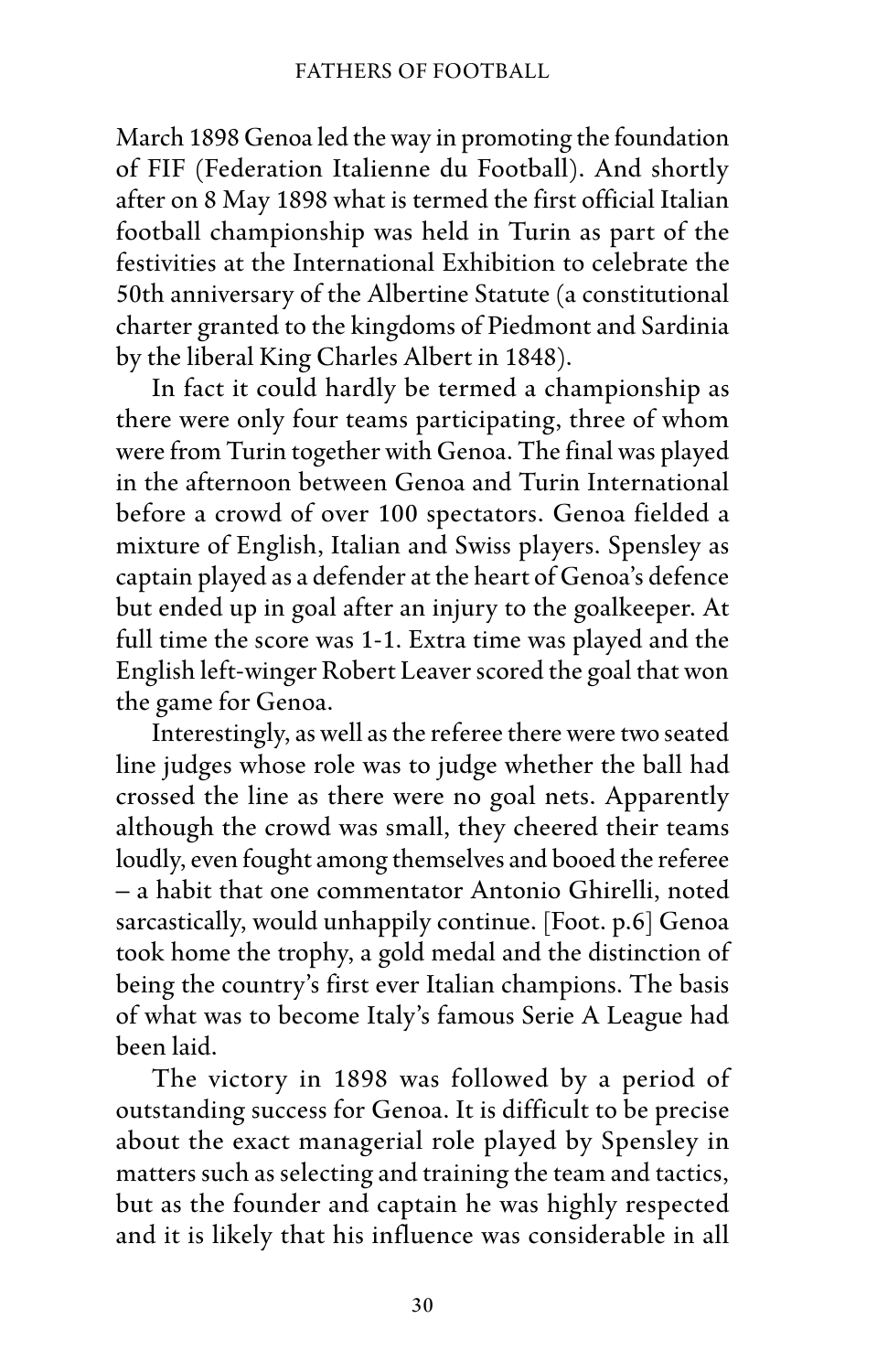March 1898 Genoa led the way in promoting the foundation of FIF (Federation Italienne du Football). And shortly after on 8 May 1898 what is termed the first official Italian football championship was held in Turin as part of the festivities at the International Exhibition to celebrate the 50th anniversary of the Albertine Statute (a constitutional charter granted to the kingdoms of Piedmont and Sardinia by the liberal King Charles Albert in 1848).

In fact it could hardly be termed a championship as there were only four teams participating, three of whom were from Turin together with Genoa. The final was played in the afternoon between Genoa and Turin International before a crowd of over 100 spectators. Genoa fielded a mixture of English, Italian and Swiss players. Spensley as captain played as a defender at the heart of Genoa's defence but ended up in goal after an injury to the goalkeeper. At full time the score was 1-1. Extra time was played and the English left-winger Robert Leaver scored the goal that won the game for Genoa.

Interestingly, as well as the referee there were two seated line judges whose role was to judge whether the ball had crossed the line as there were no goal nets. Apparently although the crowd was small, they cheered their teams loudly, even fought among themselves and booed the referee – a habit that one commentator Antonio Ghirelli, noted sarcastically, would unhappily continue. [Foot. p.6] Genoa took home the trophy, a gold medal and the distinction of being the country's first ever Italian champions. The basis of what was to become Italy's famous Serie A League had been laid.

The victory in 1898 was followed by a period of outstanding success for Genoa. It is difficult to be precise about the exact managerial role played by Spensley in matters such as selecting and training the team and tactics, but as the founder and captain he was highly respected and it is likely that his influence was considerable in all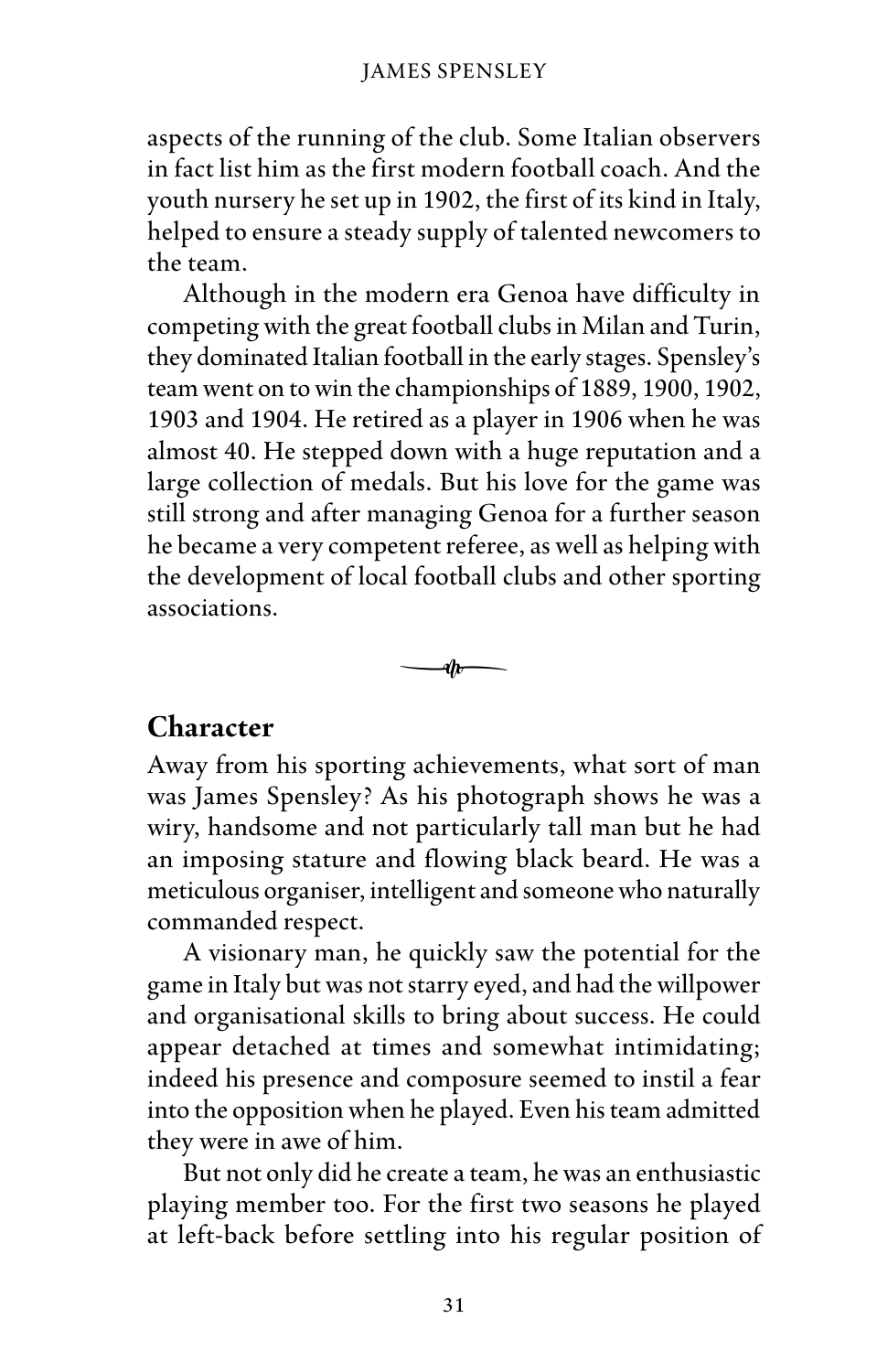aspects of the running of the club. Some Italian observers in fact list him as the first modern football coach. And the youth nursery he set up in 1902, the first of its kind in Italy, helped to ensure a steady supply of talented newcomers to the team.

Although in the modern era Genoa have difficulty in competing with the great football clubs in Milan and Turin, they dominated Italian football in the early stages. Spensley's team went on to win the championships of 1889, 1900, 1902, 1903 and 1904. He retired as a player in 1906 when he was almost 40. He stepped down with a huge reputation and a large collection of medals. But his love for the game was still strong and after managing Genoa for a further season he became a very competent referee, as well as helping with the development of local football clubs and other sporting associations.

 $\overline{\mathcal{W}}$ 

#### **Character**

Away from his sporting achievements, what sort of man was James Spensley? As his photograph shows he was a wiry, handsome and not particularly tall man but he had an imposing stature and flowing black beard. He was a meticulous organiser, intelligent and someone who naturally commanded respect.

A visionary man, he quickly saw the potential for the game in Italy but was not starry eyed, and had the willpower and organisational skills to bring about success. He could appear detached at times and somewhat intimidating; indeed his presence and composure seemed to instil a fear into the opposition when he played. Even his team admitted they were in awe of him.

But not only did he create a team, he was an enthusiastic playing member too. For the first two seasons he played at left-back before settling into his regular position of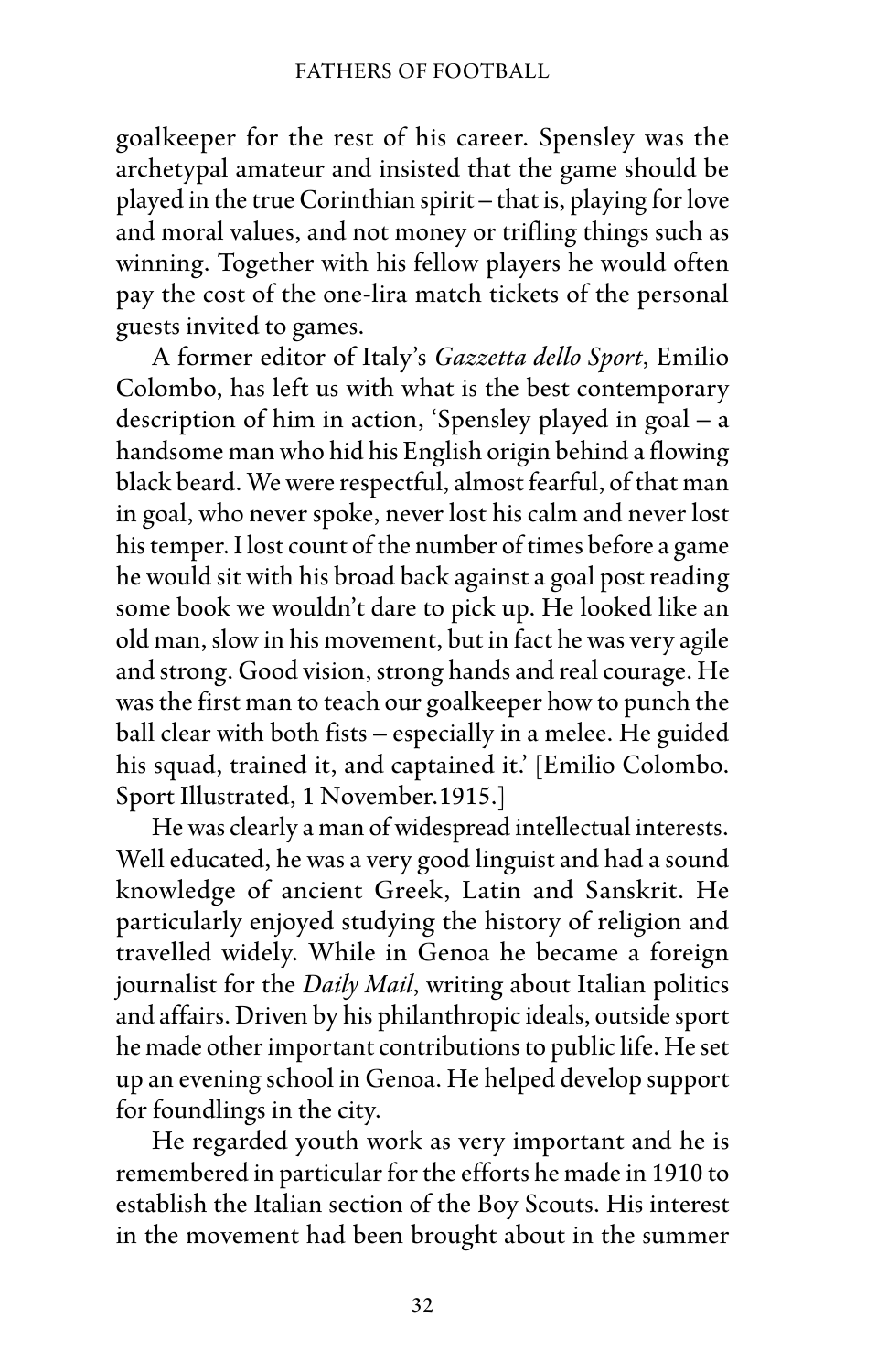goalkeeper for the rest of his career. Spensley was the archetypal amateur and insisted that the game should be played in the true Corinthian spirit – that is, playing for love and moral values, and not money or trifling things such as winning. Together with his fellow players he would often pay the cost of the one-lira match tickets of the personal guests invited to games.

A former editor of Italy's *Gazzetta dello Sport*, Emilio Colombo, has left us with what is the best contemporary description of him in action, 'Spensley played in goal – a handsome man who hid his English origin behind a flowing black beard. We were respectful, almost fearful, of that man in goal, who never spoke, never lost his calm and never lost his temper. I lost count of the number of times before a game he would sit with his broad back against a goal post reading some book we wouldn't dare to pick up. He looked like an old man, slow in his movement, but in fact he was very agile and strong. Good vision, strong hands and real courage. He was the first man to teach our goalkeeper how to punch the ball clear with both fists – especially in a melee. He guided his squad, trained it, and captained it.' [Emilio Colombo. Sport Illustrated, 1 November.1915.]

He was clearly a man of widespread intellectual interests. Well educated, he was a very good linguist and had a sound knowledge of ancient Greek, Latin and Sanskrit. He particularly enjoyed studying the history of religion and travelled widely. While in Genoa he became a foreign journalist for the *Daily Mail*, writing about Italian politics and affairs. Driven by his philanthropic ideals, outside sport he made other important contributions to public life. He set up an evening school in Genoa. He helped develop support for foundlings in the city.

He regarded youth work as very important and he is remembered in particular for the efforts he made in 1910 to establish the Italian section of the Boy Scouts. His interest in the movement had been brought about in the summer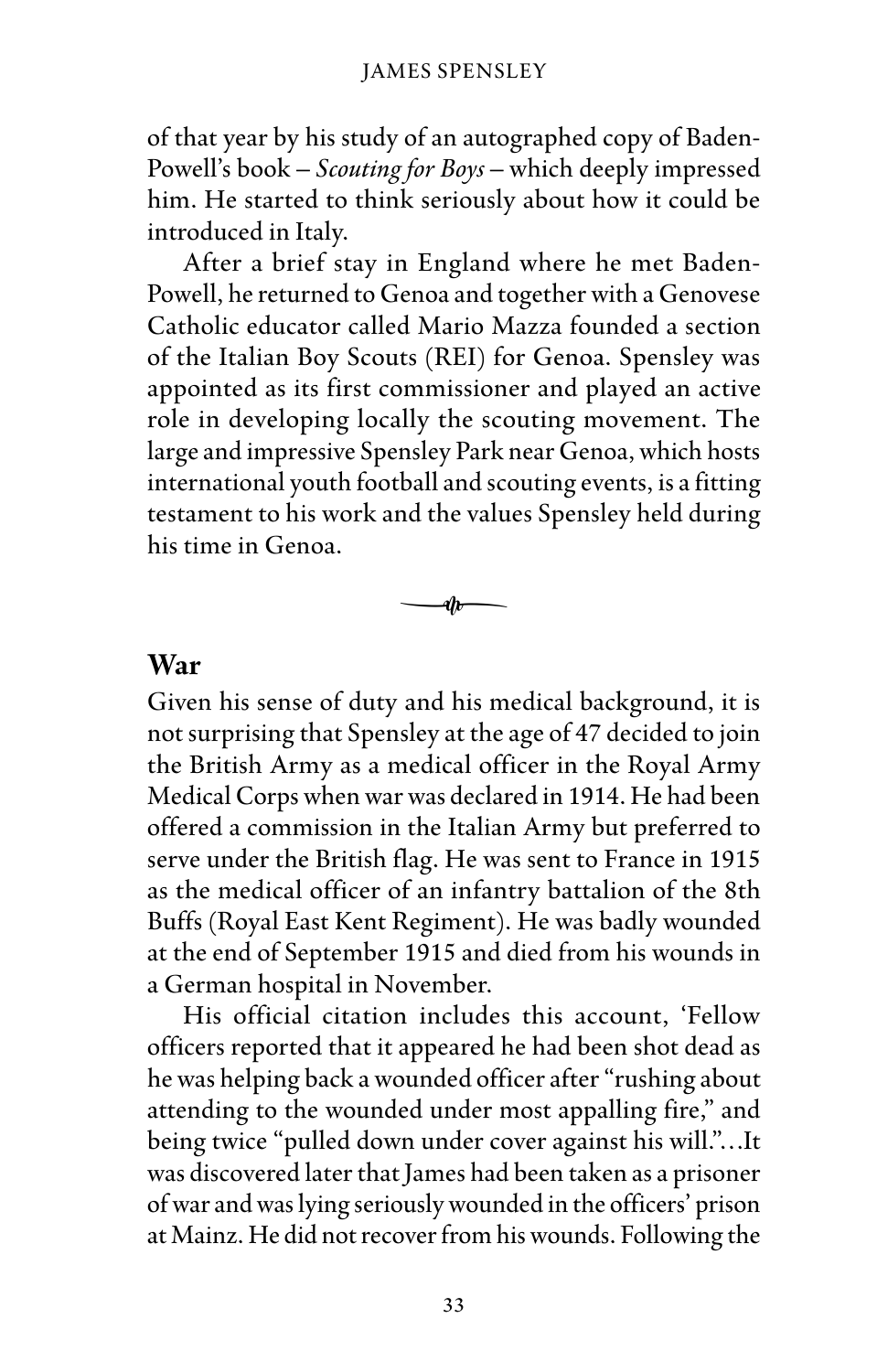of that year by his study of an autographed copy of Baden-Powell's book – *Scouting for Boys* – which deeply impressed him. He started to think seriously about how it could be introduced in Italy.

After a brief stay in England where he met Baden-Powell, he returned to Genoa and together with a Genovese Catholic educator called Mario Mazza founded a section of the Italian Boy Scouts (REI) for Genoa. Spensley was appointed as its first commissioner and played an active role in developing locally the scouting movement. The large and impressive Spensley Park near Genoa, which hosts international youth football and scouting events, is a fitting testament to his work and the values Spensley held during his time in Genoa.

— $v$ 

**War**

Given his sense of duty and his medical background, it is not surprising that Spensley at the age of 47 decided to join the British Army as a medical officer in the Royal Army Medical Corps when war was declared in 1914. He had been offered a commission in the Italian Army but preferred to serve under the British flag. He was sent to France in 1915 as the medical officer of an infantry battalion of the 8th Buffs (Royal East Kent Regiment). He was badly wounded at the end of September 1915 and died from his wounds in a German hospital in November.

His official citation includes this account, 'Fellow officers reported that it appeared he had been shot dead as he was helping back a wounded officer after "rushing about attending to the wounded under most appalling fire," and being twice "pulled down under cover against his will."…It was discovered later that James had been taken as a prisoner of war and was lying seriously wounded in the officers' prison at Mainz. He did not recover from his wounds. Following the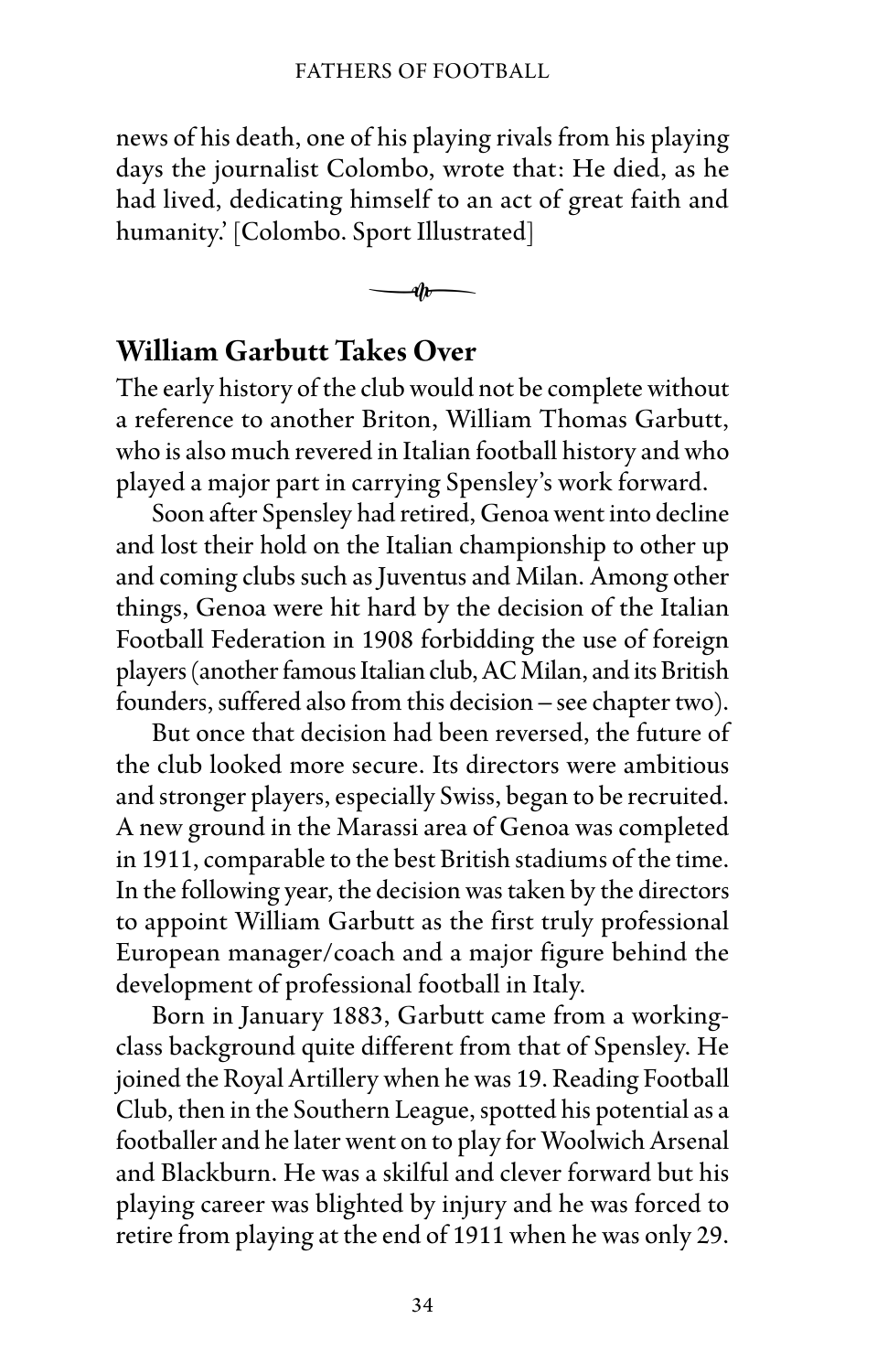news of his death, one of his playing rivals from his playing days the journalist Colombo, wrote that: He died, as he had lived, dedicating himself to an act of great faith and humanity.' [Colombo. Sport Illustrated]

 $-\psi$ 

#### **William Garbutt Takes Over**

The early history of the club would not be complete without a reference to another Briton, William Thomas Garbutt, who is also much revered in Italian football history and who played a major part in carrying Spensley's work forward.

Soon after Spensley had retired, Genoa went into decline and lost their hold on the Italian championship to other up and coming clubs such as Juventus and Milan. Among other things, Genoa were hit hard by the decision of the Italian Football Federation in 1908 forbidding the use of foreign players (another famous Italian club, AC Milan, and its British founders, suffered also from this decision – see chapter two).

But once that decision had been reversed, the future of the club looked more secure. Its directors were ambitious and stronger players, especially Swiss, began to be recruited. A new ground in the Marassi area of Genoa was completed in 1911, comparable to the best British stadiums of the time. In the following year, the decision was taken by the directors to appoint William Garbutt as the first truly professional European manager/coach and a major figure behind the development of professional football in Italy.

Born in January 1883, Garbutt came from a workingclass background quite different from that of Spensley. He joined the Royal Artillery when he was 19. Reading Football Club, then in the Southern League, spotted his potential as a footballer and he later went on to play for Woolwich Arsenal and Blackburn. He was a skilful and clever forward but his playing career was blighted by injury and he was forced to retire from playing at the end of 1911 when he was only 29.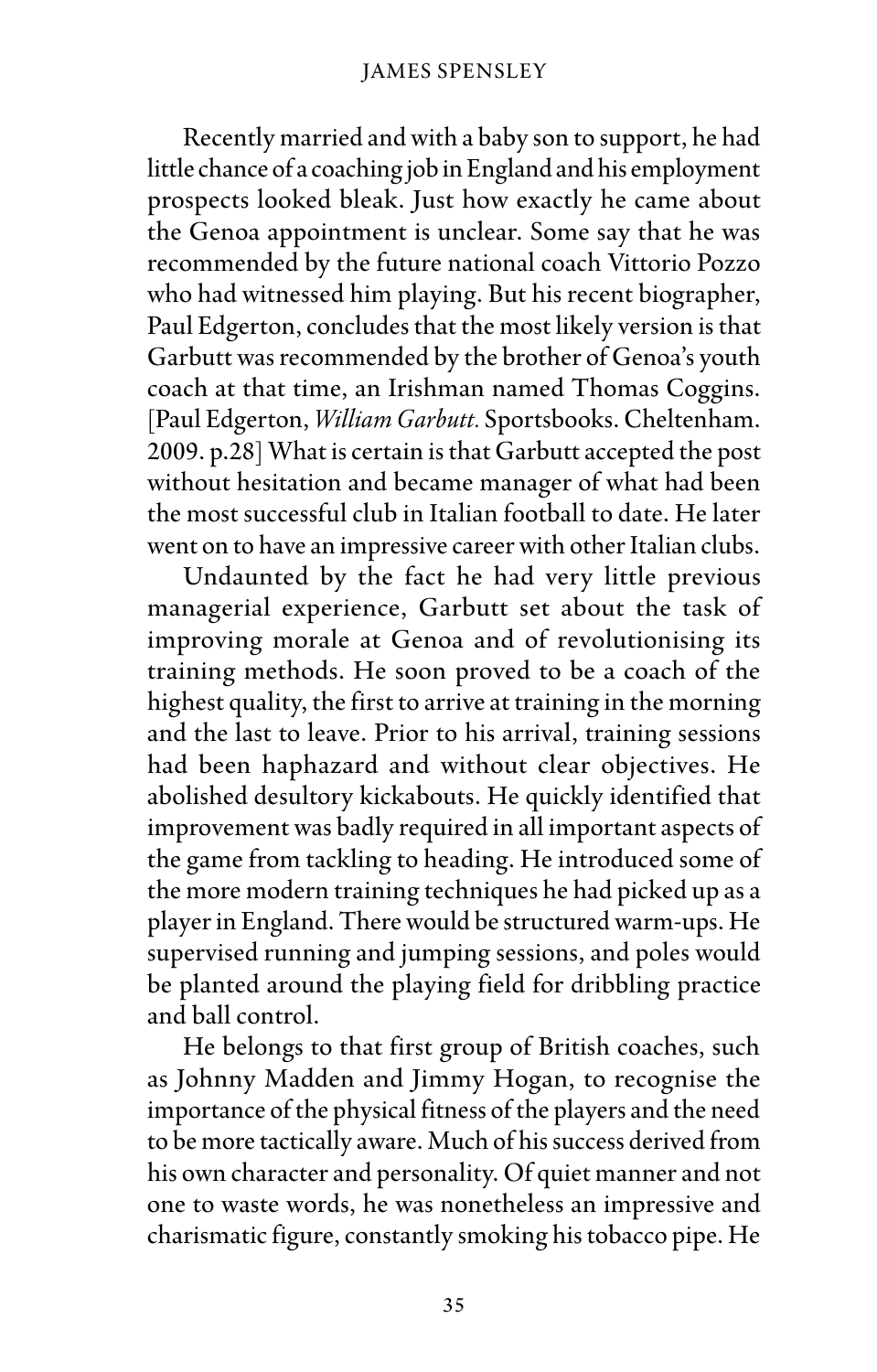Recently married and with a baby son to support, he had little chance of a coaching job in England and his employment prospects looked bleak. Just how exactly he came about the Genoa appointment is unclear. Some say that he was recommended by the future national coach Vittorio Pozzo who had witnessed him playing. But his recent biographer, Paul Edgerton, concludes that the most likely version is that Garbutt was recommended by the brother of Genoa's youth coach at that time, an Irishman named Thomas Coggins. [Paul Edgerton, *William Garbutt.* Sportsbooks. Cheltenham. 2009. p.28] What is certain is that Garbutt accepted the post without hesitation and became manager of what had been the most successful club in Italian football to date. He later went on to have an impressive career with other Italian clubs.

Undaunted by the fact he had very little previous managerial experience, Garbutt set about the task of improving morale at Genoa and of revolutionising its training methods. He soon proved to be a coach of the highest quality, the first to arrive at training in the morning and the last to leave. Prior to his arrival, training sessions had been haphazard and without clear objectives. He abolished desultory kickabouts. He quickly identified that improvement was badly required in all important aspects of the game from tackling to heading. He introduced some of the more modern training techniques he had picked up as a player in England. There would be structured warm-ups. He supervised running and jumping sessions, and poles would be planted around the playing field for dribbling practice and ball control.

He belongs to that first group of British coaches, such as Johnny Madden and Jimmy Hogan, to recognise the importance of the physical fitness of the players and the need to be more tactically aware. Much of his success derived from his own character and personality. Of quiet manner and not one to waste words, he was nonetheless an impressive and charismatic figure, constantly smoking his tobacco pipe. He